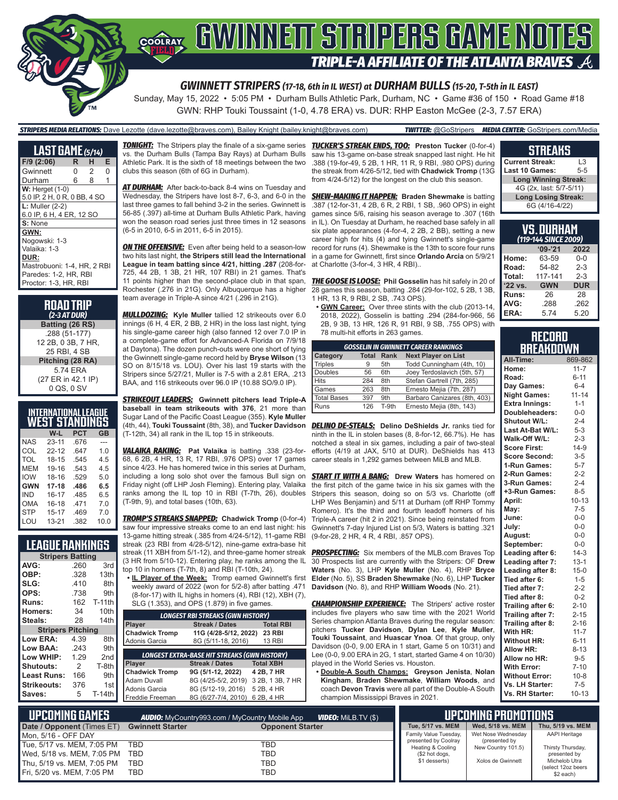

GWN: RHP Touki Toussaint (1-0, 4.78 ERA) vs. DUR: RHP Easton McGee (2-3, 7.57 ERA)

#### *STRIPERS MEDIA RELATIONS:* Dave Lezotte (dave.lezotte@braves.com), Bailey Knight (bailey.knight@braves.com) *TWITTER:* @GoStripers *MEDIA CENTER:* GoStripers.com/Media

| <b>LAST GAME</b> (5/14)      |   |                |   |
|------------------------------|---|----------------|---|
| F/9 (2:06)                   | R | н              | Е |
| Gwinnett                     | 0 | $\overline{2}$ | 0 |
| Durham                       | 6 | 8              | 1 |
| $W:$ Herget $(1-0)$          |   |                |   |
| 5.0 IP, 2 H, 0 R, 0 BB, 4 SO |   |                |   |
| $L:$ Muller (2-2)            |   |                |   |
| 6.0 IP, 6 H, 4 ER, 12 SO     |   |                |   |
| S: None                      |   |                |   |
| GWN:                         |   |                |   |
| Nogowski: 1-3                |   |                |   |
| Valaika: 1-3                 |   |                |   |
| DUR:                         |   |                |   |
| Mastrobuoni: 1-4, HR, 2 RBI  |   |                |   |
| Paredes: 1-2, HR, RBI        |   |                |   |
| Proctor: 1-3, HR, RBI        |   |                |   |

**ROAD TRIP** *(2-3 AT DUR)* **Batting (26 RS)** .288 (51-177) 12 2B, 0 3B, 7 HR, 25 RBI, 4 SB **Pitching (28 RA)** 5.74 ERA (27 ER in 42.1 IP) 0 QS, 0 SV

| INTERNATIONAL LEAGUE<br>WEST STANDINGS |           |            |      |  |  |  |  |  |
|----------------------------------------|-----------|------------|------|--|--|--|--|--|
|                                        | W-L       | <b>PCT</b> | GB   |  |  |  |  |  |
| NAS                                    | $23 - 11$ | .676       |      |  |  |  |  |  |
| COL                                    | $22 - 12$ | .647       | 1.0  |  |  |  |  |  |
| TOL                                    | 18-15     | .545       | 45   |  |  |  |  |  |
| MFM                                    | 19-16     | .543       | 4.5  |  |  |  |  |  |
| <b>IOW</b>                             | 18-16     | .529       | 5.0  |  |  |  |  |  |
| <b>GWN</b>                             | 17-18     | .486       | 6.5  |  |  |  |  |  |
| IND                                    | 16-17     | .485       | 6.5  |  |  |  |  |  |
| OMA                                    | 16-18     | .471       | 7.0  |  |  |  |  |  |
| <b>STP</b>                             | $15 - 17$ | .469       | 7.0  |  |  |  |  |  |
| LOU                                    | $13 - 21$ | .382       | 10.0 |  |  |  |  |  |

# **LEAGUE RANKINGS**

|                          | <b>Stripers Batting</b> |                 |  |  |  |  |  |  |
|--------------------------|-------------------------|-----------------|--|--|--|--|--|--|
| AVG:                     | .260                    | 3rd             |  |  |  |  |  |  |
| OBP:                     | .328                    | 13th            |  |  |  |  |  |  |
| SLG:                     | .410                    | 8th             |  |  |  |  |  |  |
| OPS:                     | .738                    | 9th             |  |  |  |  |  |  |
| Runs:                    | 162                     | <b>T-11th</b>   |  |  |  |  |  |  |
| <b>Homers:</b>           | 34                      | 10th            |  |  |  |  |  |  |
| Steals:                  | 28                      | 14th            |  |  |  |  |  |  |
| <b>Stripers Pitching</b> |                         |                 |  |  |  |  |  |  |
| Low ERA:                 | 4.39                    | 8th             |  |  |  |  |  |  |
| <b>Low BAA:</b>          | .243                    | 9th             |  |  |  |  |  |  |
| Low WHIP:                | 1.29                    | 2 <sub>nd</sub> |  |  |  |  |  |  |
| <b>Shutouts:</b>         | 2                       | T-8th           |  |  |  |  |  |  |
| Least Runs:              | 166                     | 9th             |  |  |  |  |  |  |
| Strikeouts:              | 376                     | 1st             |  |  |  |  |  |  |
| Saves:                   | 5                       | T-14th          |  |  |  |  |  |  |

Mon, 5/16 - OFF DAY

**UPCOMING GAMES** *AUDIO:* **Date / Opponent (Times ET) Gwinnett Starter** 

Tue, 5/17 vs. MEM, 7:05 PM TBD<br>Wed 5/18 vs. MFM 7:05 PM TBD Wed, 5/18 vs. MEM, 7:05 PM TBD<br>Thu 5/19 vs. MFM 7:05 PM TBD Thu, 5/19 vs. MEM, 7:05 PM Fri, 5/20 vs. MEM, 7:05 PM TBD

vs. the Durham Bulls (Tampa Bay Rays) at Durham Bulls Athletic Park. It is the sixth of 18 meetings between the two clubs this season (6th of 6G in Durham).

*AT DURHAM:* After back-to-back 8-4 wins on Tuesday and Wednesday, the Stripers have lost 8-7, 6-3, and 6-0 in the last three games to fall behind 3-2 in the series. Gwinnett is 56-85 (.397) all-time at Durham Bulls Athletic Park, having won the season road series just three times in 12 seasons (6-5 in 2010, 6-5 in 2011, 6-5 in 2015).

**ON THE OFFENSIVE:** Even after being held to a season-low two hits last night, **the Stripers still lead the International League in team batting since 4/21, hitting .287** (208-for-725, 44 2B, 1 3B, 21 HR, 107 RBI) in 21 games. That's 11 points higher than the second-place club in that span. Rochester (.276 in 21G). Only Albuquerque has a higher team average in Triple-A since 4/21 (.296 in 21G).

*MULLDOZING:* **Kyle Muller** tallied 12 strikeouts over 6.0  $\overline{\mathsf{innings}}$  (6 H, 4 ER, 2 BB, 2 HR) in the loss last night, tying his single-game career high (also fanned 12 over 7.0 IP in a complete-game effort for Advanced-A Florida on 7/9/18 at Daytona). The dozen punch-outs were one short of tying the Gwinnett single-game record held by **Bryse Wilson** (13 SO on 8/15/18 vs. LOU). Over his last 19 starts with the Stripers since 5/27/21, Muller is 7-5 with a 2.81 ERA, .213 BAA, and 116 strikeouts over 96.0 IP (10.88 SO/9.0 IP).

*STRIKEOUT LEADERS:* **Gwinnett pitchers lead Triple-A baseball in team strikeouts with 376**, 21 more than Sugar Land of the Pacific Coast League (355). **Kyle Muller**  (T-12th, 34) all rank in the IL top 15 in strikeouts.

*VALAIKA RAKING:* **Pat Valaika** is batting .338 (23-for-68, 6 2B, 4 HR, 13 R, 17 RBI, .976 OPS) over 17 games since 4/23. He has homered twice in this series at Durham, including a long solo shot over the famous Bull sign on Friday night (off LHP Josh Fleming). Entering play, Valaika ranks among the IL top 10 in RBI (T-7th, 26), doubles (T-9th, 9), and total bases (10th, 63).

*TROMP'S STREAKS SNAPPED:* **Chadwick Tromp** (0-for-4) saw four impressive streaks come to an end last night: his 13-game hitting streak (.385 from 4/24-5/12), 11-game RBI streak (23 RBI from 4/28-5/12), nine-game extra-base hit streak (11 XBH from 5/1-12), and three-game homer streak (3 HR from 5/10-12). Entering play, he ranks among the IL top 10 in homers (T-7th, 8) and RBI (T-10th, 24).

**• IL Player of the Week:** Tromp earned Gwinnett's first weekly award of 2022 (won for 5/2-8) after batting .471 (8-for-17) with IL highs in homers (4), RBI (12), XBH (7), SLG (1.353), and OPS (1.879) in five games.

| <b>LONGEST RBI STREAKS (GWN HISTORY)</b> |                                                     |                  |  |  |  |  |  |  |  |
|------------------------------------------|-----------------------------------------------------|------------------|--|--|--|--|--|--|--|
| Player                                   | <b>Total RBI</b>                                    |                  |  |  |  |  |  |  |  |
| <b>Chadwick Tromp</b>                    | 11G (4/28-5/12, 2022)<br><b>23 RBI</b>              |                  |  |  |  |  |  |  |  |
| Adonis Garcia                            | <b>13 RBI</b>                                       |                  |  |  |  |  |  |  |  |
|                                          |                                                     |                  |  |  |  |  |  |  |  |
|                                          | <b>LONGEST EXTRA-BASE HIT STREAKS (GWN HISTORY)</b> |                  |  |  |  |  |  |  |  |
| Player                                   | <b>Streak / Dates</b>                               | <b>Total XBH</b> |  |  |  |  |  |  |  |
| <b>Chadwick Tromp</b>                    | 9G (5/1-12, 2022)                                   | 4 2B, 7 HR       |  |  |  |  |  |  |  |
| Adam Duvall                              | 8G (4/25-5/2, 2019)                                 | 3 2B, 1 3B, 7 HR |  |  |  |  |  |  |  |
| Adonis Garcia                            | 8G (5/12-19, 2016)                                  | 5 2B, 4 HR       |  |  |  |  |  |  |  |
| Freddie Freeman                          | 8G (6/27-7/4, 2010)                                 | 6 2B, 4 HR       |  |  |  |  |  |  |  |

*TONIGHT:* The Stripers play the finale of a six-game series *TUCKER'S STREAK ENDS, TOO:* **Preston Tucker** (0-for-4) saw his 13-game on-base streak snapped last night. He hit .388 (19-for-49, 5 2B, 1 HR, 11 R, 9 RBI, .980 OPS) during the streak from 4/26-5/12, tied with **Chadwick Tromp** (13G from 4/24-5/12) for the longest on the club this season.

> *SHEW-MAKING IT HAPPEN:* **Braden Shewmake** is batting .387 (12-for-31, 4 2B, 6 R, 2 RBI, 1 SB, .960 OPS) in eight games since 5/6, raising his season average to .307 (16th in IL). On Tuesday at Durham, he reached base safely in all six plate appearances (4-for-4, 2 2B, 2 BB), setting a new career high for hits (4) and tying Gwinnett's single-game record for runs (4). Shewmake is the 13th to score four runs in a game for Gwinnett, first since **Orlando Arcia** on 5/9/21 at Charlotte (3-for-4, 3 HR, 4 RBI)..

> *THE GOOSE IS LOOSE:* **Phil Gosselin** has hit safely in 20 of 28 games this season, batting .284 (29-for-102, 5 2B, 1 3B, 1 HR, 13 R, 9 RBI, 2 SB, .743 OPS).

**• GWN Career:** Over three stints with the club (2013-14, 2018, 2022), Gosselin is batting .294 (284-for-966, 56 2B, 9 3B, 13 HR, 126 R, 91 RBI, 9 SB, .755 OPS) with 78 multi-hit efforts in 263 games.

| <b>GOSSELIN IN GWINNETT CAREER RANKINGS</b> |              |       |                              |  |  |  |  |  |
|---------------------------------------------|--------------|-------|------------------------------|--|--|--|--|--|
| <b>Category</b>                             | <b>Total</b> | Rank  | <b>Next Player on List</b>   |  |  |  |  |  |
| <b>Triples</b>                              |              | 5th   | Todd Cunningham (4th, 10)    |  |  |  |  |  |
| Doubles                                     | 56           | 6th   | Joey Terdoslavich (5th, 57)  |  |  |  |  |  |
| <b>Hits</b>                                 | 284          | 8th   | Stefan Gartrell (7th, 285)   |  |  |  |  |  |
| Games                                       | 263          | 8th   | Ernesto Mejia (7th, 287)     |  |  |  |  |  |
| <b>Total Bases</b>                          | 397          | 9th   | Barbaro Canizares (8th, 403) |  |  |  |  |  |
| Runs                                        | 126          | T-9th | Ernesto Mejia (8th, 143)     |  |  |  |  |  |

(4th, 44), **Touki Toussaint** (8th, 38), and **Tucker Davidson** *DELINO DE-STEALS:* **Delino DeShields Jr.** ranks tied for ninth in the IL in stolen bases (8, 8-for-12, 66.7%). He has notched a steal in six games, including a pair of two-steal efforts (4/19 at JAX, 5/10 at DUR). DeShields has 413 career steals in 1,292 games between MiLB and MLB.

> **START IT WITH A BANG:** Drew Waters has homered on the first pitch of the game twice in his six games with the Stripers this season, doing so on 5/3 vs. Charlotte (off LHP Wes Benjamin) and 5/11 at Durham (off RHP Tommy Romero). It's the third and fourth leadoff homers of his Triple-A career (hit 2 in 2021). Since being reinstated from Gwinnett's 7-day Injured List on 5/3, Waters is batting .321 (9-for-28, 2 HR, 4 R, 4 RBI, .857 OPS).

> *PROSPECTING:* Six members of the MLB.com Braves Top 30 Prospects list are currently with the Stripers: OF **Drew Waters** (No. 3), LHP **Kyle Muller** (No. 4), RHP **Bryce Elder** (No. 5), SS **Braden Shewmake** (No. 6), LHP **Tucker Davidson** (No. 8), and RHP **William Woods** (No. 21).

> **CHAMPIONSHIP EXPERIENCE:** The Stripers' active roster includes five players who saw time with the 2021 World Series champion Atlanta Braves during the regular season: pitchers **Tucker Davidson**, **Dylan Lee**, **Kyle Muller**, **Touki Toussaint**, and **Huascar Ynoa**. Of that group, only Davidson (0-0, 9.00 ERA in 1 start, Game 5 on 10/31) and Lee (0-0, 9.00 ERA in 2G, 1 start, started Game 4 on 10/30) played in the World Series vs. Houston.

**• Double-A South Champs: Greyson Jenista**, **Nolan Kingham**, **Braden Shewmake**, **William Woods**, and coach **Devon Travis** were all part of the Double-A South champion Mississippi Braves in 2021.

### **STREAKS**

| <b>Current Streak:</b>      | l 3     |  |  |  |
|-----------------------------|---------|--|--|--|
| <b>Last 10 Games:</b>       | $5 - 5$ |  |  |  |
| <b>Long Winning Streak:</b> |         |  |  |  |
| 4G (2x, last: 5/7-5/11)     |         |  |  |  |
| <b>Long Losing Streak:</b>  |         |  |  |  |
| 6G (4/16-4/22)              |         |  |  |  |

| VS. DURHAM<br>(119-144 SINCE 2009) |                    |            |  |  |  |  |  |  |  |  |
|------------------------------------|--------------------|------------|--|--|--|--|--|--|--|--|
| $9 - 21$<br>2022                   |                    |            |  |  |  |  |  |  |  |  |
| Home:                              | 63-59              | $0 - 0$    |  |  |  |  |  |  |  |  |
| Road:                              | 54-82              | $2 - 3$    |  |  |  |  |  |  |  |  |
| Total:                             | 117-141<br>$2 - 3$ |            |  |  |  |  |  |  |  |  |
| '22 vs.                            | <b>GWN</b>         | <b>DUR</b> |  |  |  |  |  |  |  |  |
| Runs:                              | 26                 | 28         |  |  |  |  |  |  |  |  |
| AVG:                               | .288               | .262       |  |  |  |  |  |  |  |  |
| ERA:                               | 574                | 5.20       |  |  |  |  |  |  |  |  |

### **RECORD RRFAKNOWN**

| All-Time:             | 869-862   |
|-----------------------|-----------|
| Home:                 | $11 - 7$  |
| Road:                 | $6 - 11$  |
| Day Games:            | $6 - 4$   |
| <b>Night Games:</b>   | $11 - 14$ |
| <b>Extra Innings:</b> | $1 - 1$   |
| Doubleheaders:        | $0-0$     |
| <b>Shutout W/L:</b>   | $2 - 4$   |
| Last At-Bat W/L:      | $5 - 3$   |
| Walk-Off W/L:         | $2 - 3$   |
| <b>Score First:</b>   | $14-9$    |
| <b>Score Second:</b>  | $3 - 5$   |
| 1-Run Games:          | $5 - 7$   |
| 2-Run Games:          | $2 - 2$   |
| 3-Run Games:          | $2 - 4$   |
| +3-Run Games:         | $8 - 5$   |
| April:                | $10 - 13$ |
| Mav:                  | $7-5$     |
| June:                 | $0-0$     |
| July:                 | $0-0$     |
| August:               | $0-0$     |
| September:            | $0-0$     |
| Leading after 6:      | $14-3$    |
| Leading after 7:      | $13 - 1$  |
| Leading after 8:      | $15 - 0$  |
| Tied after 6:         | $1 - 5$   |
| Tied after 7:         | $2 - 2$   |
| Tied after 8:         | $0 - 2$   |
| Trailing after 6:     | $2 - 10$  |
| Trailing after 7:     | $2 - 15$  |
| Trailing after 8:     | $2 - 16$  |
| With HR:              | $11 - 7$  |
| <b>Without HR:</b>    | $6 - 11$  |
| <b>Allow HR:</b>      | $8 - 13$  |
| Allow no HR:          | $9 - 5$   |
| <b>With Error:</b>    | $7 - 10$  |
| <b>Without Error:</b> | $10 - 8$  |
| Vs. LH Starter:       | $7-5$     |
| Vs. RH Starter:       | $10 - 13$ |

| <b>VIDEO:</b> Milb.TV (\$)<br>MyCountry993.com / MyCountry Mobile App | UPCOMING PROMOTIONS                                                                                                                                                                                                                                                                                       |
|-----------------------------------------------------------------------|-----------------------------------------------------------------------------------------------------------------------------------------------------------------------------------------------------------------------------------------------------------------------------------------------------------|
| <b>Opponent Starter</b><br>tarter                                     | Thu, 5/19 vs. MEM<br>Tue, 5/17 vs. MEM<br>Wed, 5/18 vs. MEM                                                                                                                                                                                                                                               |
| TBD<br>TBD<br>TBD<br>TBD                                              | Wet Nose Wednesdav<br>Family Value Tuesday,<br><b>AAPI Heritage</b><br>presented by Coolray<br>(presented by<br>Heating & Cooling<br>Thirsty Thursday,<br>New Country 101.5)<br>(\$2 hot dogs,<br>presented by<br>\$1 desserts)<br>Xolos de Gwinnett<br>Michelob Utra<br>(select 12oz beers<br>$$2$ each) |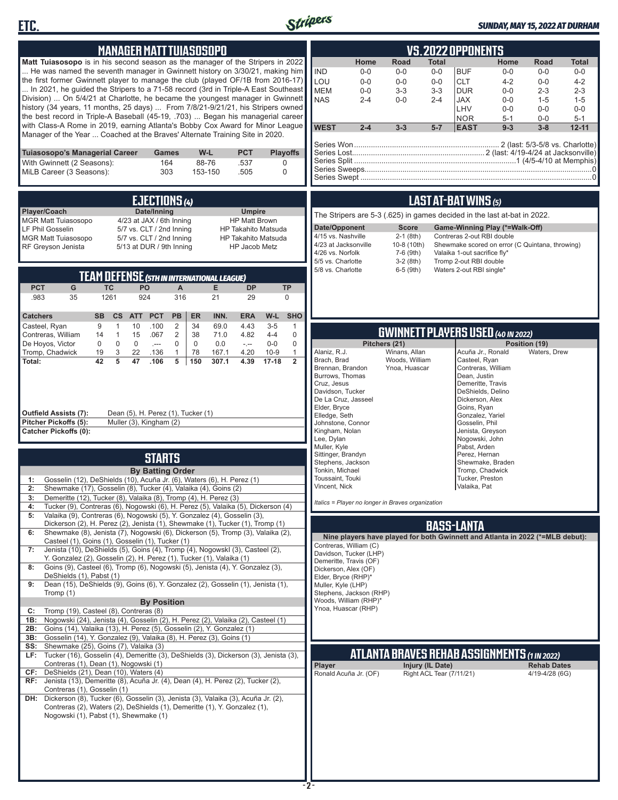



### *SUNDAY, MAY 15, 2022 AT DURHAM*

|                                                                                                                                                                           | <b>MANAGER MATT TUIASOSOPO</b>                                      |                                                  |                                    |                                                |                            |                                                                               |                                                     |                          | <b>VS.2022 OPPONENTS</b>             |                                                 |                               |                    |
|---------------------------------------------------------------------------------------------------------------------------------------------------------------------------|---------------------------------------------------------------------|--------------------------------------------------|------------------------------------|------------------------------------------------|----------------------------|-------------------------------------------------------------------------------|-----------------------------------------------------|--------------------------|--------------------------------------|-------------------------------------------------|-------------------------------|--------------------|
| Matt Tuiasosopo is in his second season as the manager of the Stripers in 2022                                                                                            |                                                                     |                                                  |                                    |                                                |                            | Home                                                                          | Road                                                | <b>Total</b>             |                                      | Home                                            | Road                          | <b>Total</b>       |
| He was named the seventh manager in Gwinnett history on 3/30/21, making him                                                                                               |                                                                     |                                                  |                                    |                                                | <b>IND</b>                 | $0 - 0$                                                                       | $0-0$                                               | $0-0$                    | <b>BUF</b>                           | $0-0$                                           | $0-0$                         | $0-0$              |
| the first former Gwinnett player to manage the club (played OF/1B from 2016-17)<br>In 2021, he guided the Stripers to a 71-58 record (3rd in Triple-A East Southeast      |                                                                     |                                                  |                                    |                                                | LOU                        | $0-0$                                                                         | $0-0$                                               | $0-0$                    | <b>CLT</b>                           | $4 - 2$                                         | $0-0$                         | $4 - 2$            |
| Division)  On 5/4/21 at Charlotte, he became the youngest manager in Gwinnett                                                                                             |                                                                     |                                                  |                                    |                                                | <b>MEM</b><br><b>NAS</b>   | $0-0$<br>$2 - 4$                                                              | $3 - 3$<br>$0 - 0$                                  | $3 - 3$<br>$2 - 4$       | <b>DUR</b><br><b>JAX</b>             | $0-0$<br>$0-0$                                  | $2 - 3$<br>$1 - 5$            | $2 - 3$<br>$1 - 5$ |
| history (34 years, 11 months, 25 days)  From 7/8/21-9/21/21, his Stripers owned                                                                                           |                                                                     |                                                  |                                    |                                                |                            |                                                                               |                                                     |                          | LHV                                  | $0-0$                                           | $0-0$                         | 0-0                |
| the best record in Triple-A Baseball (45-19, .703)  Began his managerial career                                                                                           |                                                                     |                                                  |                                    |                                                |                            |                                                                               |                                                     |                          | NOR                                  | $5 - 1$                                         | $0-0$                         | $5 - 1$            |
| with Class-A Rome in 2019, earning Atlanta's Bobby Cox Award for Minor League<br>Manager of the Year  Coached at the Braves' Alternate Training Site in 2020.             |                                                                     |                                                  |                                    |                                                | <b>WEST</b>                | $2 - 4$                                                                       | $3 - 3$                                             | $5-7$                    | <b>EAST</b>                          | $9 - 3$                                         | $3 - 8$                       | $12 - 11$          |
| Tuiasosopo's Managerial Career                                                                                                                                            |                                                                     | Games                                            | W-L<br><b>PCT</b>                  | <b>Playoffs</b>                                |                            |                                                                               |                                                     |                          |                                      |                                                 |                               |                    |
| With Gwinnett (2 Seasons):                                                                                                                                                |                                                                     | 164                                              | 88-76<br>.537                      | 0                                              |                            |                                                                               |                                                     |                          |                                      |                                                 |                               |                    |
| MiLB Career (3 Seasons):                                                                                                                                                  |                                                                     | 303                                              | 153-150<br>.505                    | 0                                              |                            |                                                                               |                                                     |                          |                                      |                                                 |                               |                    |
|                                                                                                                                                                           |                                                                     |                                                  |                                    |                                                |                            |                                                                               |                                                     |                          |                                      |                                                 |                               |                    |
|                                                                                                                                                                           |                                                                     | EJECTIONS (4)                                    |                                    |                                                |                            |                                                                               |                                                     |                          | <b>LAST AT-BAT WINS (5)</b>          |                                                 |                               |                    |
| Player/Coach                                                                                                                                                              | Date/Inning                                                         |                                                  |                                    | <b>Umpire</b>                                  |                            | The Stripers are 5-3 (.625) in games decided in the last at-bat in 2022.      |                                                     |                          |                                      |                                                 |                               |                    |
| MGR Matt Tuiasosopo<br>LF Phil Gosselin                                                                                                                                   | 4/23 at JAX / 6th Inning<br>5/7 vs. CLT / 2nd Inning                |                                                  |                                    | <b>HP Matt Brown</b><br>HP Takahito Matsuda    |                            | Date/Opponent                                                                 | <b>Score</b>                                        |                          |                                      | Game-Winning Play (*=Walk-Off)                  |                               |                    |
| <b>MGR Matt Tuiasosopo</b>                                                                                                                                                | 5/7 vs. CLT / 2nd Inning                                            |                                                  |                                    | <b>HP Takahito Matsuda</b>                     |                            | 4/15 vs. Nashville                                                            | $2-1$ (8th)                                         |                          | Contreras 2-out RBI double           |                                                 |                               |                    |
| RF Greyson Jenista                                                                                                                                                        | 5/13 at DUR / 9th Inning                                            |                                                  |                                    | HP Jacob Metz                                  |                            | 4/23 at Jacksonville<br>4/26 vs. Norfolk                                      | 10-8 (10th)                                         |                          | Valaika 1-out sacrifice fly*         | Shewmake scored on error (C Quintana, throwing) |                               |                    |
|                                                                                                                                                                           |                                                                     |                                                  |                                    |                                                |                            | 5/5 vs. Charlotte                                                             | 7-6 (9th)<br>$3-2(8th)$                             |                          | Tromp 2-out RBI double               |                                                 |                               |                    |
|                                                                                                                                                                           | <b>TEAM DEFENSE (5TH IN INTERNATIONAL LEAGUE)</b>                   |                                                  |                                    |                                                |                            | 5/8 vs. Charlotte                                                             | $6-5$ (9th)                                         |                          | Waters 2-out RBI single*             |                                                 |                               |                    |
| <b>PCT</b><br>G                                                                                                                                                           | <b>TC</b><br>PO                                                     | $\mathsf{A}$                                     | E<br><b>DP</b>                     | <b>TP</b>                                      |                            |                                                                               |                                                     |                          |                                      |                                                 |                               |                    |
| .983<br>35                                                                                                                                                                | 1261<br>924                                                         | 316                                              | 21<br>29                           | $\mathbf 0$                                    |                            |                                                                               |                                                     |                          |                                      |                                                 |                               |                    |
|                                                                                                                                                                           |                                                                     |                                                  |                                    |                                                |                            |                                                                               |                                                     |                          |                                      |                                                 |                               |                    |
| <b>Catchers</b><br><b>SB</b><br>9<br>Casteel, Ryan                                                                                                                        | <b>PCT</b><br><b>CS</b><br><b>ATT</b><br>10<br>.100<br>$\mathbf{1}$ | PB<br><b>ER</b><br>2<br>34                       | INN.<br><b>ERA</b><br>69.0<br>4.43 | W-L<br><b>SHO</b><br>$3-5$<br>$\mathbf{1}$     |                            |                                                                               |                                                     |                          |                                      |                                                 |                               |                    |
| 14<br>Contreras, William                                                                                                                                                  | $\mathbf{1}$<br>.067<br>15                                          | 2<br>38                                          | 71.0<br>4.82                       | $4 - 4$<br>$\mathbf 0$                         |                            |                                                                               | <b>GWINNETT PLAYERS USED (40 IN 2022)</b>           |                          |                                      |                                                 |                               |                    |
| 0<br>De Hoyos, Victor<br>Tromp, Chadwick<br>19                                                                                                                            | $\mathbf 0$<br>$\mathbf 0$<br>$-$<br>3<br>22<br>.136                | $\mathbf 0$<br>$\mathbf 0$<br>$\mathbf{1}$<br>78 | 0.0<br>$\sim$<br>167.1<br>4.20     | $\mathbf 0$<br>$0-0$<br>$10-9$<br>$\mathbf{1}$ | Alaniz, R.J.               |                                                                               | Pitchers (21)<br>Winans, Allan                      |                          | Acuña Jr., Ronald                    |                                                 | Position (19)<br>Waters, Drew |                    |
| 42<br>Total:                                                                                                                                                              | 5<br>47<br>.106                                                     | 5<br>150                                         | 307.1<br>4.39                      | $17-18$<br>$\overline{2}$                      | Brach, Brad                |                                                                               | Woods, William                                      |                          | Casteel, Ryan                        |                                                 |                               |                    |
|                                                                                                                                                                           |                                                                     |                                                  |                                    |                                                |                            | Brennan, Brandon<br>Burrows, Thomas                                           | Ynoa, Huascar                                       |                          | Contreras, William<br>Dean, Justin   |                                                 |                               |                    |
|                                                                                                                                                                           |                                                                     |                                                  |                                    |                                                | Cruz, Jesus                |                                                                               |                                                     |                          | Demeritte, Travis                    |                                                 |                               |                    |
|                                                                                                                                                                           |                                                                     |                                                  |                                    |                                                |                            | Davidson, Tucker<br>De La Cruz, Jasseel                                       |                                                     |                          | DeShields, Delino<br>Dickerson, Alex |                                                 |                               |                    |
|                                                                                                                                                                           |                                                                     |                                                  |                                    |                                                | Elder, Bryce               |                                                                               |                                                     |                          | Goins, Ryan                          |                                                 |                               |                    |
| <b>Outfield Assists (7):</b><br>Pitcher Pickoffs (5):                                                                                                                     | Dean (5), H. Perez (1), Tucker (1)<br>Muller (3), Kingham (2)       |                                                  |                                    |                                                | Elledge, Seth              | Johnstone, Connor                                                             |                                                     |                          | Gonzalez, Yariel<br>Gosselin, Phil   |                                                 |                               |                    |
| <b>Catcher Pickoffs (0):</b>                                                                                                                                              |                                                                     |                                                  |                                    |                                                |                            | Kingham, Nolan                                                                |                                                     |                          | Jenista, Greyson                     |                                                 |                               |                    |
|                                                                                                                                                                           |                                                                     |                                                  |                                    |                                                | Lee, Dylan<br>Muller, Kyle |                                                                               |                                                     |                          | Nogowski, John<br>Pabst, Arden       |                                                 |                               |                    |
|                                                                                                                                                                           |                                                                     | <b>STARTS</b>                                    |                                    |                                                |                            | Sittinger, Brandyn                                                            |                                                     |                          | Perez, Hernan                        |                                                 |                               |                    |
|                                                                                                                                                                           |                                                                     | <b>By Batting Order</b>                          |                                    |                                                |                            | Stephens, Jackson<br>Tonkin, Michael                                          |                                                     |                          | Tromp, Chadwick                      | Shewmake, Braden                                |                               |                    |
| Gosselin (12), DeShields (10), Acuña Jr. (6), Waters (6), H. Perez (1)<br>1:                                                                                              |                                                                     |                                                  |                                    |                                                |                            | Toussaint, Touki                                                              |                                                     |                          | Tucker, Preston                      |                                                 |                               |                    |
| 2:<br>Shewmake (17), Gosselin (8), Tucker (4), Valaika (4), Goins (2)                                                                                                     |                                                                     |                                                  |                                    |                                                | Vincent, Nick              |                                                                               |                                                     |                          | Valaika, Pat                         |                                                 |                               |                    |
| 3:<br>Demeritte (12), Tucker (8), Valaika (8), Tromp (4), H. Perez (3)                                                                                                    |                                                                     |                                                  |                                    |                                                |                            | Italics = Player no longer in Braves organization                             |                                                     |                          |                                      |                                                 |                               |                    |
| Tucker (9), Contreras (6), Nogowski (6), H. Perez (5), Valaika (5), Dickerson (4)<br>4:<br>Valaika (9), Contreras (6), Nogowski (5), Y. Gonzalez (4), Gosselin (3),<br>5: |                                                                     |                                                  |                                    |                                                |                            |                                                                               |                                                     |                          |                                      |                                                 |                               |                    |
| Dickerson (2), H. Perez (2), Jenista (1), Shewmake (1), Tucker (1), Tromp (1)                                                                                             |                                                                     |                                                  |                                    |                                                |                            |                                                                               |                                                     |                          | <b>BASS-LANTA</b>                    |                                                 |                               |                    |
| Shewmake (8), Jenista (7), Nogowski (6), Dickerson (5), Tromp (3), Valaika (2),<br>6:                                                                                     |                                                                     |                                                  |                                    |                                                |                            | Nine players have played for both Gwinnett and Atlanta in 2022 (*=MLB debut): |                                                     |                          |                                      |                                                 |                               |                    |
| Casteel (1), Goins (1), Gosselin (1), Tucker (1)<br>Jenista (10), DeShields (5), Goins (4), Tromp (4), Nogowskl (3), Casteel (2),<br>7:                                   |                                                                     |                                                  |                                    |                                                |                            | Contreras, William (C)                                                        |                                                     |                          |                                      |                                                 |                               |                    |
| Y. Gonzalez (2), Gosselin (2), H. Perez (1), Tucker (1), Valaika (1)                                                                                                      |                                                                     |                                                  |                                    |                                                |                            | Davidson, Tucker (LHP)<br>Demeritte, Travis (OF)                              |                                                     |                          |                                      |                                                 |                               |                    |
| Goins (9), Casteel (6), Tromp (6), Nogowski (5), Jenista (4), Y. Gonzalez (3),<br>8:                                                                                      |                                                                     |                                                  |                                    |                                                |                            | Dickerson, Alex (OF)                                                          |                                                     |                          |                                      |                                                 |                               |                    |
| DeShields (1), Pabst (1)<br>Dean (15), DeShields (9), Goins (6), Y. Gonzalez (2), Gosselin (1), Jenista (1),<br>9:                                                        |                                                                     |                                                  |                                    |                                                |                            | Elder, Bryce (RHP)*<br>Muller, Kyle (LHP)                                     |                                                     |                          |                                      |                                                 |                               |                    |
| Tromp (1)                                                                                                                                                                 |                                                                     |                                                  |                                    |                                                |                            | Stephens, Jackson (RHP)                                                       |                                                     |                          |                                      |                                                 |                               |                    |
|                                                                                                                                                                           |                                                                     | <b>By Position</b>                               |                                    |                                                |                            | Woods, William (RHP)*<br>Ynoa, Huascar (RHP)                                  |                                                     |                          |                                      |                                                 |                               |                    |
| Tromp (19), Casteel (8), Contreras (8)<br>C:<br>Nogowski (24), Jenista (4), Gosselin (2), H. Perez (2), Valaika (2), Casteel (1)<br>1B:                                   |                                                                     |                                                  |                                    |                                                |                            |                                                                               |                                                     |                          |                                      |                                                 |                               |                    |
| Goins (14), Valaika (13), H. Perez (5), Gosselin (2), Y. Gonzalez (1)<br>2B:                                                                                              |                                                                     |                                                  |                                    |                                                |                            |                                                                               |                                                     |                          |                                      |                                                 |                               |                    |
| 3B: Gosselin (14), Y. Gonzalez (9), Valaika (8), H. Perez (3), Goins (1)                                                                                                  |                                                                     |                                                  |                                    |                                                |                            |                                                                               |                                                     |                          |                                      |                                                 |                               |                    |
| SS: Shewmake (25), Goins (7), Valaika (3)<br>LF: Tucker (16), Gosselin (4), Demeritte (3), DeShields (3), Dickerson (3), Jenista (3),                                     |                                                                     |                                                  |                                    |                                                |                            |                                                                               | <b>ATLANTA BRAVES REHAB ASSIGNMENTS (1 IN 2022)</b> |                          |                                      |                                                 |                               |                    |
| Contreras (1), Dean (1), Nogowski (1)                                                                                                                                     |                                                                     |                                                  |                                    |                                                | Player                     |                                                                               |                                                     | Injury (IL Date)         |                                      |                                                 | <b>Rehab Dates</b>            |                    |
| CF: DeShields (21), Dean (10), Waters (4)                                                                                                                                 |                                                                     |                                                  |                                    |                                                |                            | Ronald Acuña Jr. (OF)                                                         |                                                     | Right ACL Tear (7/11/21) |                                      |                                                 | 4/19-4/28 (6G)                |                    |
| RF: Jenista (13), Demeritte (8), Acuña Jr. (4), Dean (4), H. Perez (2), Tucker (2),<br>Contreras (1), Gosselin (1)                                                        |                                                                     |                                                  |                                    |                                                |                            |                                                                               |                                                     |                          |                                      |                                                 |                               |                    |
| DH: Dickerson (8), Tucker (6), Gosselin (3), Jenista (3), Valaika (3), Acuña Jr. (2),                                                                                     |                                                                     |                                                  |                                    |                                                |                            |                                                                               |                                                     |                          |                                      |                                                 |                               |                    |
| Contreras (2), Waters (2), DeShields (1), Demeritte (1), Y. Gonzalez (1),                                                                                                 |                                                                     |                                                  |                                    |                                                |                            |                                                                               |                                                     |                          |                                      |                                                 |                               |                    |
| Nogowski (1), Pabst (1), Shewmake (1)                                                                                                                                     |                                                                     |                                                  |                                    |                                                |                            |                                                                               |                                                     |                          |                                      |                                                 |                               |                    |
|                                                                                                                                                                           |                                                                     |                                                  |                                    |                                                |                            |                                                                               |                                                     |                          |                                      |                                                 |                               |                    |
|                                                                                                                                                                           |                                                                     |                                                  |                                    |                                                |                            |                                                                               |                                                     |                          |                                      |                                                 |                               |                    |
|                                                                                                                                                                           |                                                                     |                                                  |                                    |                                                |                            |                                                                               |                                                     |                          |                                      |                                                 |                               |                    |
|                                                                                                                                                                           |                                                                     |                                                  |                                    |                                                |                            |                                                                               |                                                     |                          |                                      |                                                 |                               |                    |
|                                                                                                                                                                           |                                                                     |                                                  |                                    |                                                |                            |                                                                               |                                                     |                          |                                      |                                                 |                               |                    |
|                                                                                                                                                                           |                                                                     |                                                  |                                    |                                                | -2-                        |                                                                               |                                                     |                          |                                      |                                                 |                               |                    |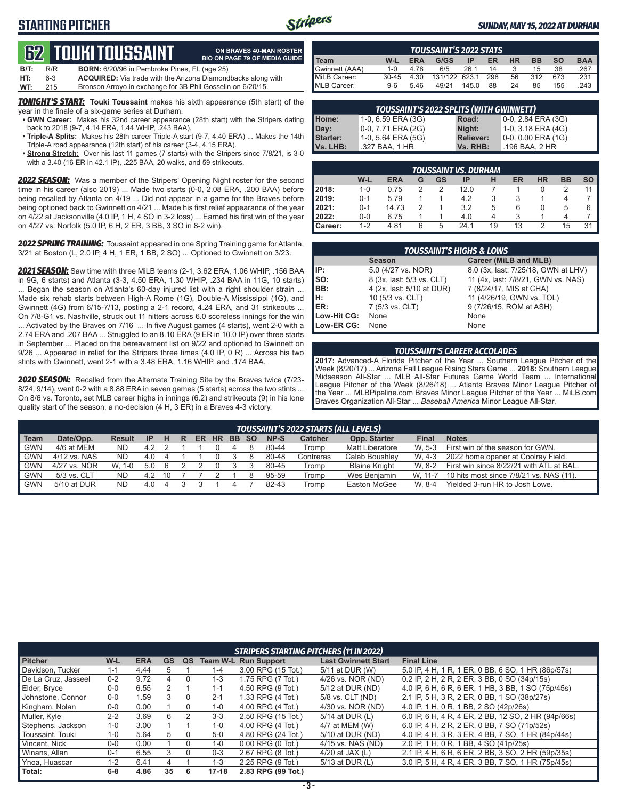# **STARTING PITCHER**



**ON BRAVES 40-MAN ROSTER**

#### *SUNDAY, MAY 15, 2022 AT DURHAM*

# **62****TOUKI TOUSSAINT**

|      |       | tiz Tuun tuuumin                                                    | <b>BIO ON PAGE 79 OF MEDIA GUIDE</b> |
|------|-------|---------------------------------------------------------------------|--------------------------------------|
| B/T: | R/R   | <b>BORN:</b> 6/20/96 in Pembroke Pines, FL (age 25)                 |                                      |
| HT:  | $6-3$ | <b>ACQUIRED:</b> Via trade with the Arizona Diamondbacks along with |                                      |
| WT:  | 215   | Bronson Arroyo in exchange for 3B Phil Gosselin on 6/20/15.         |                                      |

*TONIGHT'S START:* **Touki Toussaint** makes his sixth appearance (5th start) of the year in the finale of a six-game series at Durham.

- **• GWN Career:** Makes his 32nd career appearance (28th start) with the Stripers dating back to 2018 (9-7, 4.14 ERA, 1.44 WHIP, .243 BAA).
- **• Triple-A Splits:** Makes his 28th career Triple-A start (9-7, 4.40 ERA) ... Makes the 14th Triple-A road appearance (12th start) of his career (3-4, 4.15 ERA).
- **• Strong Stretch:** Over his last 11 games (7 starts) with the Stripers since 7/8/21, is 3-0 with a 3.40 (16 ER in 42.1 IP), .225 BAA, 20 walks, and 59 strikeouts.

*2022 SEASON:* Was a member of the Stripers' Opening Night roster for the second time in his career (also 2019) ... Made two starts (0-0, 2.08 ERA, .200 BAA) before being recalled by Atlanta on 4/19 ... Did not appear in a game for the Braves before being optioned back to Gwinnett on 4/21 ... Made his first relief appearance of the year on 4/22 at Jacksonville (4.0 IP, 1 H, 4 SO in 3-2 loss) ... Earned his first win of the year on 4/27 vs. Norfolk (5.0 IP, 6 H, 2 ER, 3 BB, 3 SO in 8-2 win).

*2022 SPRING TRAINING:* Toussaint appeared in one Spring Training game for Atlanta, 3/21 at Boston (L, 2.0 IP, 4 H, 1 ER, 1 BB, 2 SO) ... Optioned to Gwinnett on 3/23.

*2021 SEASON:* Saw time with three MiLB teams (2-1, 3.62 ERA, 1.06 WHIP, .156 BAA in 9G, 6 starts) and Atlanta (3-3, 4.50 ERA, 1.30 WHIP, .234 BAA in 11G, 10 starts) ... Began the season on Atlanta's 60-day injured list with a right shoulder strain ... Made six rehab starts between High-A Rome (1G), Double-A Mississippi (1G), and Gwinnett (4G) from 6/15-7/13, posting a 2-1 record, 4.24 ERA, and 31 strikeouts ... On 7/8-G1 vs. Nashville, struck out 11 hitters across 6.0 scoreless innings for the win ... Activated by the Braves on 7/16 ... In five August games (4 starts), went 2-0 with a 2.74 ERA and .207 BAA ... Struggled to an 8.10 ERA (9 ER in 10.0 IP) over three starts in September ... Placed on the bereavement list on 9/22 and optioned to Gwinnett on 9/26 ... Appeared in relief for the Stripers three times (4.0 IP, 0 R) ... Across his two stints with Gwinnett, went 2-1 with a 3.48 ERA, 1.16 WHIP, and .174 BAA.

*2020 SEASON:* Recalled from the Alternate Training Site by the Braves twice (7/23- 8/24, 9/14), went 0-2 with a 8.88 ERA in seven games (5 starts) across the two stints ... On 8/6 vs. Toronto, set MLB career highs in innings (6.2) and strikeouts (9) in his lone quality start of the season, a no-decision (4 H, 3 ER) in a Braves 4-3 victory.

| <b>TOUSSAINT'S 2022 STATS</b> |           |            |               |       |     |    |           |           |            |
|-------------------------------|-----------|------------|---------------|-------|-----|----|-----------|-----------|------------|
| Team                          | W-L       | <b>ERA</b> | G/GS          | IP    | ER  | HR | <b>BB</b> | <b>SO</b> | <b>BAA</b> |
| Gwinnett (AAA)                | $1 - 0$   | 4 78       | 6/5           | 261   | 14  |    | 15        | 38        | .267       |
| MiLB Career:                  | $30 - 45$ | 4.30       | 131/122 623.1 |       | 298 | 56 | 312       | 673       | .231       |
| MLB Career:                   | $9-6$     | 5.46       | 49/21         | 145.0 | 88  | 24 | 85        | 155       | 243        |

| <b>TOUSSAINT'S 2022 SPLITS (WITH GWINNETT)</b> |                    |                  |                    |  |  |  |  |  |
|------------------------------------------------|--------------------|------------------|--------------------|--|--|--|--|--|
| Home:                                          | 1-0, 6.59 ERA (3G) | Road:            | 0-0, 2.84 ERA (3G) |  |  |  |  |  |
| Day:                                           | 0-0, 7.71 ERA (2G) | Night:           | 1-0, 3.18 ERA (4G) |  |  |  |  |  |
| <b>Starter:</b>                                | 1-0, 5.64 ERA (5G) | <b>Reliever:</b> | 0-0, 0.00 ERA (1G) |  |  |  |  |  |
| Vs. LHB:                                       | .327 BAA, 1 HR     | Vs. RHB:         | .196 BAA, 2 HR     |  |  |  |  |  |

| TOUSSAINT VS. DURHAM |         |            |   |    |      |    |    |           |           |    |
|----------------------|---------|------------|---|----|------|----|----|-----------|-----------|----|
|                      | W-L     | <b>ERA</b> | G | GS | IP   | н  | ER | <b>HR</b> | <b>BB</b> | SO |
| 2018:                | $1 - 0$ | 0.75       | 2 |    | 12.0 |    |    | 0         |           | 11 |
| 2019:                | $0 - 1$ | 5.79       |   |    | 4.2  | 3  | 3  |           | 4         |    |
| 2021:                | $0 - 1$ | 14.73      | 2 |    | 3.2  | 5  | 6  | O         | 5         | 6  |
| 2022:                | $0-0$   | 6.75       |   |    | 4.0  |    | 3  |           | 4         |    |
| <b>Career:</b>       | $1 - 2$ | 4.81       | 6 | 5  | 24.1 | 19 | 13 | 2         | 15        | 31 |

| <b>TOUSSAINT'S HIGHS &amp; LOWS</b> |                           |                                     |  |  |  |  |  |  |
|-------------------------------------|---------------------------|-------------------------------------|--|--|--|--|--|--|
|                                     | <b>Season</b>             | Career (MiLB and MLB)               |  |  |  |  |  |  |
| IIP:                                | 5.0 (4/27 vs. NOR)        | 8.0 (3x, last: 7/25/18, GWN at LHV) |  |  |  |  |  |  |
| $\mathsf{Iso}:$                     | 8 (3x, last: 5/3 vs. CLT) | 11 (4x, last: 7/8/21, GWN vs. NAS)  |  |  |  |  |  |  |
| BB:                                 | 4 (2x, last: 5/10 at DUR) | 7 (8/24/17, MIS at CHA)             |  |  |  |  |  |  |
| Iн:                                 | 10 (5/3 vs. CLT)          | 11 (4/26/19, GWN vs. TOL)           |  |  |  |  |  |  |
| <b>IER:</b>                         | 7 (5/3 vs. CLT)           | 9 (7/26/15, ROM at ASH)             |  |  |  |  |  |  |
| Low-Hit CG:                         | None                      | None                                |  |  |  |  |  |  |
| Low-ER CG:                          | None                      | None                                |  |  |  |  |  |  |

#### *TOUSSAINT'S CAREER ACCOLADES*

**2017:** Advanced-A Florida Pitcher of the Year ... Southern League Pitcher of the Week (8/20/17) ... Arizona Fall League Rising Stars Game ... **2018:** Southern League Midseason All-Star ... MLB All-Star Futures Game World Team ... International League Pitcher of the Week (8/26/18) ... Atlanta Braves Minor League Pitcher of the Year ... MLBPipeline.com Braves Minor League Pitcher of the Year ... MiLB.com Braves Organization All-Star ... *Baseball America* Minor League All-Star.

| Team  | Date/Opp.    | Result        | <b>IP</b> | н  | R | ER. |  | HR BB SO |  | NP-S  | <b>Catcher</b> | Opp. Starter           | <b>Final</b> | <b>Notes</b>                             |
|-------|--------------|---------------|-----------|----|---|-----|--|----------|--|-------|----------------|------------------------|--------------|------------------------------------------|
| I GWN | 4/6 at MEM   | ND.           | 4.2       |    |   |     |  |          |  | 80-44 | Tromp          | <b>Matt Liberatore</b> | W. 5-3       | First win of the season for GWN.         |
| I GWN | 4/12 vs. NAS | ND.           | 4.0       |    |   |     |  |          |  | 80-48 | Contreras      | Caleb Boushlev         | W. 4-3       | 2022 home opener at Coolray Field.       |
| I GWN | 4/27 vs. NOR | W.<br>$1 - 0$ | 5.0       |    |   |     |  |          |  | 80-45 | Tromp          | <b>Blaine Knight</b>   | W. 8-2       | First win since 8/22/21 with ATL at BAL. |
| I GWN | 5/3 vs. CLT  | ND.           | 42        | 10 |   |     |  |          |  | 95-59 | Tromp          | Wes Benjamin           | W. 11-7      | 10 hits most since 7/8/21 vs. NAS (11).  |
| I GWN | 5/10 at DUR  | ND.           | 4.0       |    |   |     |  |          |  | 82-43 | Tromp          | Easton McGee           | W. 8-4       | Yielded 3-run HR to Josh Lowe.           |
|       |              |               |           |    |   |     |  |          |  |       |                |                        |              |                                          |

|                     | <b>STRIPERS STARTING PITCHERS (11 IN 2022)</b> |            |    |    |           |                             |                            |                                                     |  |  |
|---------------------|------------------------------------------------|------------|----|----|-----------|-----------------------------|----------------------------|-----------------------------------------------------|--|--|
| <b>Pitcher</b>      | $W-L$                                          | <b>ERA</b> | GS | QS |           | <b>Team W-L Run Support</b> | <b>Last Gwinnett Start</b> | <b>Final Line</b>                                   |  |  |
| Davidson. Tucker    | $1 - 1$                                        | 4.44       |    |    | $1 - 4$   | 3.00 RPG (15 Tot.)          | 5/11 at DUR (W)            | 5.0 IP, 4 H, 1 R, 1 ER, 0 BB, 6 SO, 1 HR (86p/57s)  |  |  |
| De La Cruz. Jasseel | $0 - 2$                                        | 9.72       | 4  |    | $1 - 3$   | 1.75 RPG (7 Tot.)           | 4/26 vs. NOR (ND)          | 0.2 IP, 2 H, 2 R, 2 ER, 3 BB, 0 SO (34p/15s)        |  |  |
| Elder, Bryce        | $0 - 0$                                        | 6.55       |    |    | $1 - 1$   | 4.50 RPG (9 Tot.)           | 5/12 at DUR (ND)           | 4.0 IP, 6 H, 6 R, 6 ER, 1 HB, 3 BB, 1 SO (75p/45s)  |  |  |
| Johnstone, Connor   | $0 - 0$                                        | 1.59       |    |    | $2 - 1$   | 1.33 RPG (4 Tot.)           | 5/8 vs. CLT (ND)           | 2.1 IP, 5 H, 3 R, 2 ER, 0 BB, 1 SO (38p/27s)        |  |  |
| Kingham, Nolan      | $0 - 0$                                        | 0.00       |    | 0  | $1 - 0$   | 4.00 RPG (4 Tot.)           | 4/30 vs. NOR (ND)          | 4.0 IP, 1 H, 0 R, 1 BB, 2 SO (42p/26s)              |  |  |
| Muller, Kyle        | $2 - 2$                                        | 3.69       | 6  |    | $3 - 3$   | 2.50 RPG (15 Tot.)          | 5/14 at DUR (L)            | 6.0 IP, 6 H, 4 R, 4 ER, 2 BB, 12 SO, 2 HR (94p/66s) |  |  |
| Stephens, Jackson   | $1 - 0$                                        | 3.00       |    |    | $1 - 0$   | 4.00 RPG (4 Tot.)           | 4/7 at MEM (W)             | 6.0 IP, 4 H, 2 R, 2 ER, 0 BB, 7 SO (71p/52s)        |  |  |
| Toussaint, Touki    | $1 - 0$                                        | 5.64       | 5  |    | $5-0$     | 4.80 RPG (24 Tot.)          | 5/10 at DUR (ND)           | 4.0 IP, 4 H, 3 R, 3 ER, 4 BB, 7 SO, 1 HR (84p/44s)  |  |  |
| Vincent. Nick       | $0 - 0$                                        | 0.00       |    |    | $1 - 0$   | $0.00$ RPG $(0$ Tot.)       | 4/15 vs. NAS (ND)          | 2.0 IP, 1 H, 0 R, 1 BB, 4 SO (41p/25s)              |  |  |
| Winans, Allan       | $0 - 1$                                        | 6.55       | 3  | 0  | $0 - 3$   | 2.67 RPG (8 Tot.)           | 4/20 at JAX $(L)$          | 2.1 IP, 4 H, 6 R, 6 ER, 2 BB, 3 SO, 2 HR (59p/35s)  |  |  |
| Ynoa. Huascar       | $1 - 2$                                        | 6.41       | 4  |    | $1 - 3$   | 2.25 RPG (9 Tot.)           | 5/13 at DUR (L)            | 3.0 IP, 5 H, 4 R, 4 ER, 3 BB, 7 SO, 1 HR (75p/45s)  |  |  |
| Total:              | $6 - 8$                                        | 4.86       | 35 | 6  | $17 - 18$ | 2.83 RPG (99 Tot.)          |                            |                                                     |  |  |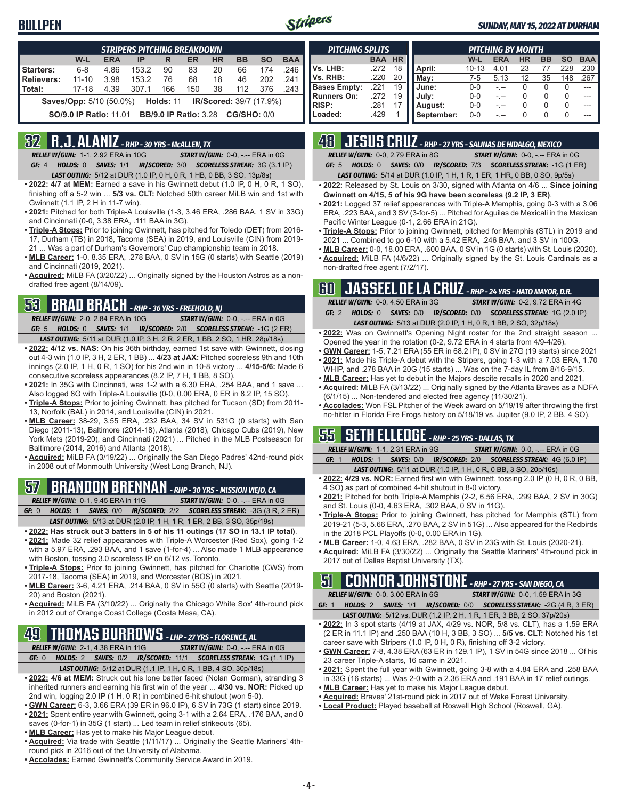## **BULLPEN**



#### *SUNDAY, MAY 15, 2022 AT DURHAM*

| <b>STRIPERS PITCHING BREAKDOWN</b>                                         |                               |            |       |                              |     |           |                    |           |            |  |
|----------------------------------------------------------------------------|-------------------------------|------------|-------|------------------------------|-----|-----------|--------------------|-----------|------------|--|
|                                                                            | W-L                           | <b>ERA</b> | ΙP    | R                            | ER  | <b>HR</b> | <b>BB</b>          | <b>SO</b> | <b>BAA</b> |  |
| <b>Starters:</b>                                                           | $6 - 8$                       | 4.86       | 153.2 | 90                           | 83  | 20        | 66                 | 174       | .246       |  |
| <b>Relievers:</b>                                                          | $11 - 10$                     | 3.98       | 153.2 | 76                           | 68  | 18        | 46                 | 202       | .241       |  |
| Total:                                                                     | $17 - 18$                     | 4.39       | 307.1 | 166                          | 150 | 38        | 112                | 376       | .243       |  |
| <b>Holds: 11 IR/Scored: 39/7 (17.9%)</b><br><b>Saves/Opp:</b> 5/10 (50.0%) |                               |            |       |                              |     |           |                    |           |            |  |
|                                                                            | <b>SO/9.0 IP Ratio: 11.01</b> |            |       | <b>BB/9.0 IP Ratio: 3.28</b> |     |           | <b>CG/SHO: 0/0</b> |           |            |  |

## **32 R.J. ALANIZ** *- RHP - 30 YRS - McALLEN, TX*

*RELIEF W/GWN:*1-1, 2.92 ERA in 10G *START W/GWN:*0-0, -.-- ERA in 0G *GF:*4 *HOLDS:*0 *SAVES:*1/1 *IR/SCORED:*3/0 *SCORELESS STREAK:*3G (3.1 IP)

*LAST OUTING:*5/12 at DUR (1.0 IP, 0 H, 0 R, 1 HB, 0 BB, 3 SO, 13p/8s)

- **• 2022: 4/7 at MEM:** Earned a save in his Gwinnett debut (1.0 IP, 0 H, 0 R, 1 SO), finishing off a 5-2 win ... **5/3 vs. CLT:** Notched 50th career MiLB win and 1st with Gwinnett (1.1 IP, 2 H in 11-7 win).
- **• 2021:** Pitched for both Triple-A Louisville (1-3, 3.46 ERA, .286 BAA, 1 SV in 33G) and Cincinnati (0-0, 3.38 ERA, .111 BAA in 3G).
- **• Triple-A Stops:** Prior to joining Gwinnett, has pitched for Toledo (DET) from 2016- 17, Durham (TB) in 2018, Tacoma (SEA) in 2019, and Louisville (CIN) from 2019- 21 ... Was a part of Durham's Governors' Cup championship team in 2018.
- **• MLB Career:** 1-0, 8.35 ERA, .278 BAA, 0 SV in 15G (0 starts) with Seattle (2019) and Cincinnati (2019, 2021).
- **• Acquired:** MiLB FA (3/20/22) ... Originally signed by the Houston Astros as a nondrafted free agent (8/14/09).

# **53 BRAD BRACH** *- RHP - 36 YRS - FREEHOLD, NJ*

*RELIEF W/GWN:*2-0, 2.84 ERA in 10G *START W/GWN:*0-0, -.-- ERA in 0G *GF:*5 *HOLDS:*0 *SAVES:*1/1 *IR/SCORED:*2/0 *SCORELESS STREAK:*-1G (2 ER)

- *LAST OUTING:*5/11 at DUR (1.0 IP, 3 H, 2 R, 2 ER, 1 BB, 2 SO, 1 HR, 28p/18s) **• 2022: 4/12 vs. NAS:** On his 36th birthday, earned 1st save with Gwinnett, closing out 4-3 win (1.0 IP, 3 H, 2 ER, 1 BB) ... **4/23 at JAX:** Pitched scoreless 9th and 10th innings (2.0 IP, 1 H, 0 R, 1 SO) for his 2nd win in 10-8 victory ... **4/15-5/6:** Made 6 consecutive scoreless appearances (8.2 IP, 7 H, 1 BB, 8 SO).
- **• 2021:** In 35G with Cincinnati, was 1-2 with a 6.30 ERA, .254 BAA, and 1 save ... Also logged 8G with Triple-A Louisville (0-0, 0.00 ERA, 0 ER in 8.2 IP, 15 SO).
- **• Triple-A Stops:** Prior to joining Gwinnett, has pitched for Tucson (SD) from 2011- 13, Norfolk (BAL) in 2014, and Louisville (CIN) in 2021.
- **• MLB Career:** 38-29, 3.55 ERA, .232 BAA, 34 SV in 531G (0 starts) with San Diego (2011-13), Baltimore (2014-18), Atlanta (2018), Chicago Cubs (2019), New York Mets (2019-20), and Cincinnati (2021) ... Pitched in the MLB Postseason for Baltimore (2014, 2016) and Atlanta (2018).
- **• Acquired:** MiLB FA (3/19/22) ... Originally the San Diego Padres' 42nd-round pick in 2008 out of Monmouth University (West Long Branch, NJ).

# **57 BRANDON BRENNAN** *- RHP - 30 YRS - MISSION VIEJO, CA*

*RELIEF W/GWN:*0-1, 9.45 ERA in 11G *START W/GWN:*0-0, -.-- ERA in 0G *GF:*0 *HOLDS:*1 *SAVES:*0/0 *IR/SCORED:*2/2 *SCORELESS STREAK:*-3G (3 R, 2 ER)

- *LAST OUTING:*5/13 at DUR (2.0 IP, 1 H, 1 R, 1 ER, 2 BB, 3 SO, 35p/19s)
- **• 2022: Has struck out 3 batters in 5 of his 11 outings (17 SO in 13.1 IP total)**. **• 2021:** Made 32 relief appearances with Triple-A Worcester (Red Sox), going 1-2
- with a 5.97 ERA, .293 BAA, and 1 save (1-for-4) ... Also made 1 MLB appearance with Boston, tossing 3.0 scoreless IP on 6/12 vs. Toronto.
- **• Triple-A Stops:** Prior to joining Gwinnett, has pitched for Charlotte (CWS) from 2017-18, Tacoma (SEA) in 2019, and Worcester (BOS) in 2021.
- **• MLB Career:** 3-6, 4.21 ERA, .214 BAA, 0 SV in 55G (0 starts) with Seattle (2019- 20) and Boston (2021).
- **• Acquired:** MiLB FA (3/10/22) ... Originally the Chicago White Sox' 4th-round pick in 2012 out of Orange Coast College (Costa Mesa, CA).

# **49 THOMAS BURROWS** *- LHP - 27 YRS - FLORENCE, AL*

*RELIEF W/GWN:*2-1, 4.38 ERA in 11G *START W/GWN:*0-0, -.-- ERA in 0G

- *GF:*0 *HOLDS:*2 *SAVES:*0/2 *IR/SCORED:*11/1 *SCORELESS STREAK:*1G (1.1 IP) *LAST OUTING:*5/12 at DUR (1.1 IP, 1 H, 0 R, 1 BB, 4 SO, 30p/18s)
- **• 2022: 4/6 at MEM:** Struck out his lone batter faced (Nolan Gorman), stranding 3 inherited runners and earning his first win of the year ... **4/30 vs. NOR:** Picked up 2nd win, logging 2.0 IP (1 H, 0 R) in combined 6-hit shutout (won 5-0).
- **• GWN Career:** 6-3, 3.66 ERA (39 ER in 96.0 IP), 6 SV in 73G (1 start) since 2019.
- **• 2021:** Spent entire year with Gwinnett, going 3-1 with a 2.64 ERA, .176 BAA, and 0
- saves (0-for-1) in 35G (1 start) ... Led team in relief strikeouts (65).
- **• MLB Career:** Has yet to make his Major League debut.
- **• Acquired:** Via trade with Seattle (1/11/17) ... Originally the Seattle Mariners' 4thround pick in 2016 out of the University of Alabama.
- **• Accolades:** Earned Gwinnett's Community Service Award in 2019.

| <b>PITCHING SPLITS</b> |            |           | <b>PITCHING BY MONTH</b> |           |            |           |           |     |            |
|------------------------|------------|-----------|--------------------------|-----------|------------|-----------|-----------|-----|------------|
|                        | <b>BAA</b> | <b>HR</b> |                          | W-L       | <b>ERA</b> | <b>HR</b> | <b>BB</b> | SΟ  | <b>BAA</b> |
| Vs. LHB:               | .272       | 18        | April:                   | $10 - 13$ | 4.01       | 23        |           | 228 | .230       |
| Vs. RHB:               | .220       | 20        | Mav:                     | 7-5       | 5.13       | 12        | 35        | 148 | 267        |
| <b>Bases Empty:</b>    | .221       | 19        | June:                    | $0 - 0$   |            | 0         |           |     |            |
| <b>Runners On:</b>     | .272       | 19        | July:                    | $0 - 0$   | - --       | 0         |           | O   | ---        |
| <b>RISP:</b>           | .281       |           | August:                  | $0 - 0$   |            |           |           | O   |            |
| Loaded:                | .429       |           | September:               | $0 - 0$   |            |           |           | U   |            |

# **48 JESUS CRUZ** *- RHP - 27 YRS - SALINAS DE HIDALGO, MEXICO*

*RELIEF W/GWN:*0-0, 2.79 ERA in 8G *START W/GWN:*0-0, -.-- ERA in 0G

*GF:*5 *HOLDS:*0 *SAVES:*0/0 *IR/SCORED:*7/3 *SCORELESS STREAK:*-1G (1 ER) *LAST OUTING:*5/14 at DUR (1.0 IP, 1 H, 1 R, 1 ER, 1 HR, 0 BB, 0 SO, 9p/5s)

- **• 2022:** Released by St. Louis on 3/30, signed with Atlanta on 4/6 ... **Since joining Gwinnett on 4/15, 5 of his 9G have been scoreless (9.2 IP, 3 ER)**.
- **• 2021:** Logged 37 relief appearances with Triple-A Memphis, going 0-3 with a 3.06 ERA, .223 BAA, and 3 SV (3-for-5) ... Pitched for Aguilas de Mexicali in the Mexican Pacific Winter League (0-1, 2.66 ERA in 21G).
- **• Triple-A Stops:** Prior to joining Gwinnett, pitched for Memphis (STL) in 2019 and 2021 ... Combined to go 6-10 with a 5.42 ERA, .246 BAA, and 3 SV in 100G.
- **• MLB Career:** 0-0, 18.00 ERA, .600 BAA, 0 SV in 1G (0 starts) with St. Louis (2020). **• Acquired:** MiLB FA (4/6/22) ... Originally signed by the St. Louis Cardinals as a
- non-drafted free agent (7/2/17).

# **60 JASSEEL DE LA CRUZ** *- RHP - 24 YRS - HATO MAYOR, D.R.*

|         | <b>RELIEF W/GWN: 0-0, 4.50 ERA in 3G</b> | <b>START W/GWN: 0-2, 9.72 ERA in 4G</b>                                 |
|---------|------------------------------------------|-------------------------------------------------------------------------|
| GF: $2$ |                                          | HOLDS: 0 SAVES: 0/0 IR/SCORED: 0/0 SCORELESS STREAK: 1G (2.0 IP)        |
|         |                                          | <b>LAST OUTING:</b> 5/13 at DUR (2.0 IP, 1 H, 0 R, 1 BB, 2 SO, 32p/18s) |

- **• 2022:** Was on Gwinnett's Opening Night roster for the 2nd straight season ... Opened the year in the rotation (0-2, 9.72 ERA in 4 starts from 4/9-4/26).
- **• GWN Career:** 1-5, 7.21 ERA (55 ER in 68.2 IP), 0 SV in 27G (19 starts) since 2021 **• 2021:** Made his Triple-A debut with the Stripers, going 1-3 with a 7.03 ERA, 1.70
- WHIP, and .278 BAA in 20G (15 starts) ... Was on the 7-day IL from 8/16-9/15. **• MLB Career:** Has yet to debut in the Majors despite recalls in 2020 and 2021.
- **• Acquired:** MiLB FA (3/13/22) ... Originally signed by the Atlanta Braves as a NDFA (6/1/15) ... Non-tendered and elected free agency (11/30/21).
- **• Accolades:** Won FSL Pitcher of the Week award on 5/19/19 after throwing the first no-hitter in Florida Fire Frogs history on 5/18/19 vs. Jupiter (9.0 IP, 2 BB, 4 SO).

### **55 SETH ELLEDGE** *- RHP - 25 YRS - DALLAS, TX*

*RELIEF W/GWN:*1-1, 2.31 ERA in 9G *START W/GWN:*0-0, -.-- ERA in 0G *GF:*1 *HOLDS:*1 *SAVES:*0/0 *IR/SCORED:*2/0 *SCORELESS STREAK:*4G (6.0 IP)

- *LAST OUTING:*5/11 at DUR (1.0 IP, 1 H, 0 R, 0 BB, 3 SO, 20p/16s)
- **• 2022: 4/29 vs. NOR:** Earned first win with Gwinnett, tossing 2.0 IP (0 H, 0 R, 0 BB, 4 SO) as part of combined 4-hit shutout in 8-0 victory.
- **• 2021:** Pitched for both Triple-A Memphis (2-2, 6.56 ERA, .299 BAA, 2 SV in 30G) and St. Louis (0-0, 4.63 ERA, .302 BAA, 0 SV in 11G).
- **• Triple-A Stops:** Prior to joining Gwinnett, has pitched for Memphis (STL) from 2019-21 (5-3, 5.66 ERA, .270 BAA, 2 SV in 51G) ... Also appeared for the Redbirds in the 2018 PCL Playoffs (0-0, 0.00 ERA in 1G).
- **• MLB Career:** 1-0, 4.63 ERA, .282 BAA, 0 SV in 23G with St. Louis (2020-21).
- **• Acquired:** MiLB FA (3/30/22) ... Originally the Seattle Mariners' 4th-round pick in 2017 out of Dallas Baptist University (TX).

# **51 CONNOR JOHNSTONE** *- RHP - 27 YRS - SAN DIEGO, CA*

*RELIEF W/GWN:*0-0, 3.00 ERA in 6G *START W/GWN:*0-0, 1.59 ERA in 3G

*GF:*1 *HOLDS:*2 *SAVES:*1/1 *IR/SCORED:*0/0 *SCORELESS STREAK:*-2G (4 R, 3 ER) *LAST OUTING:*5/12 vs. DUR (1.2 IP, 2 H, 1 R, 1 ER, 3 BB, 2 SO, 37p/20s)

- **• 2022:** In 3 spot starts (4/19 at JAX, 4/29 vs. NOR, 5/8 vs. CLT), has a 1.59 ERA (2 ER in 11.1 IP) and .250 BAA (10 H, 3 BB, 3 SO) ... **5/5 vs. CLT:** Notched his 1st career save with Stripers (1.0 IP, 0 H, 0 R), finishing off 3-2 victory.
- **• GWN Career:** 7-8, 4.38 ERA (63 ER in 129.1 IP), 1 SV in 54G since 2018 ... Of his 23 career Triple-A starts, 16 came in 2021.
- **• 2021:** Spent the full year with Gwinnett, going 3-8 with a 4.84 ERA and .258 BAA in 33G (16 starts) ... Was 2-0 with a 2.36 ERA and .191 BAA in 17 relief outings.
- **• MLB Career:** Has yet to make his Major League debut.
- **• Acquired:** Braves' 21st-round pick in 2017 out of Wake Forest University.
- **• Local Product:** Played baseball at Roswell High School (Roswell, GA).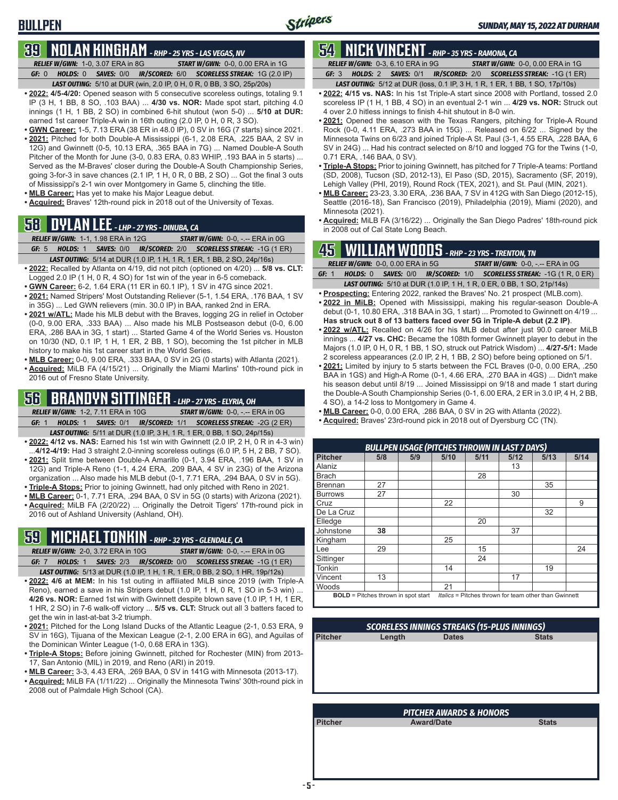# **BULLPEN**

# **39 NOLAN KINGHAM** *- RHP - 25 YRS - LAS VEGAS, NV*

*RELIEF W/GWN:*1-0, 3.07 ERA in 8G *START W/GWN:*0-0, 0.00 ERA in 1G *GF:*0 *HOLDS:*0 *SAVES:*0/0 *IR/SCORED:*6/0 *SCORELESS STREAK:*1G (2.0 IP) *LAST OUTING:*5/10 at DUR (win, 2.0 IP, 0 H, 0 R, 0 BB, 3 SO, 25p/20s)

**• 2022: 4/5-4/20:** Opened season with 5 consecutive scoreless outings, totaling 9.1 IP (3 H, 1 BB, 8 SO, .103 BAA) ... **4/30 vs. NOR:** Made spot start, pitching 4.0 innings (1 H, 1 BB, 2 SO) in combined 6-hit shutout (won 5-0) ... **5/10 at DUR:** earned 1st career Triple-A win in 16th outing (2.0 IP, 0 H, 0 R, 3 SO).

- **• GWN Career:** 1-5, 7.13 ERA (38 ER in 48.0 IP), 0 SV in 16G (7 starts) since 2021.
- **• 2021:** Pitched for both Double-A Mississippi (6-1, 2.08 ERA, .225 BAA, 2 SV in 12G) and Gwinnett (0-5, 10.13 ERA, .365 BAA in 7G) ... Named Double-A South Pitcher of the Month for June (3-0, 0.83 ERA, 0.83 WHIP, .193 BAA in 5 starts) ... Served as the M-Braves' closer during the Double-A South Championship Series, going 3-for-3 in save chances (2.1 IP, 1 H, 0 R, 0 BB, 2 SO) ... Got the final 3 outs of Mississippi's 2-1 win over Montgomery in Game 5, clinching the title.
- **• MLB Career:** Has yet to make his Major League debut.
- **• Acquired:** Braves' 12th-round pick in 2018 out of the University of Texas.

# **58 DYLAN LEE** *- LHP - 27 YRS - DINUBA, CA*

*RELIEF W/GWN:*1-1, 1.98 ERA in 12G *START W/GWN:*0-0, -.-- ERA in 0G *GF:*5 *HOLDS:*1 *SAVES:*0/0 *IR/SCORED:*2/0 *SCORELESS STREAK:*-1G (1 ER)

- **• 2022:** Recalled by Atlanta on 4/19, did not pitch (optioned on 4/20) ... **5/8 vs. CLT:**
- Logged 2.0 IP (1 H, 0 R, 4 SO) for 1st win of the year in 6-5 comeback.
- **• GWN Career:** 6-2, 1.64 ERA (11 ER in 60.1 IP), 1 SV in 47G since 2021.
- **• 2021:** Named Stripers' Most Outstanding Reliever (5-1, 1.54 ERA, .176 BAA, 1 SV in 35G) ... Led GWN relievers (min. 30.0 IP) in BAA, ranked 2nd in ERA.
- **• 2021 w/ATL:** Made his MLB debut with the Braves, logging 2G in relief in October (0-0, 9.00 ERA, .333 BAA) ... Also made his MLB Postseason debut (0-0, 6.00 ERA, .286 BAA in 3G, 1 start) ... Started Game 4 of the World Series vs. Houston on 10/30 (ND, 0.1 IP, 1 H, 1 ER, 2 BB, 1 SO), becoming the 1st pitcher in MLB history to make his 1st career start in the World Series.
- **• MLB Career:** 0-0, 9.00 ERA, .333 BAA, 0 SV in 2G (0 starts) with Atlanta (2021).
- **• Acquired:** MiLB FA (4/15/21) ... Originally the Miami Marlins' 10th-round pick in 2016 out of Fresno State University.

# **56 BRANDYN SITTINGER** *- LHP - 27 YRS - ELYRIA, OH*

*RELIEF W/GWN:*1-2, 7.11 ERA in 10G *START W/GWN:*0-0, -.-- ERA in 0G *GF:*1 *HOLDS:*1 *SAVES:*0/1 *IR/SCORED:*1/1 *SCORELESS STREAK:*-2G (2 ER) *LAST OUTING:*5/11 at DUR (1.0 IP, 3 H, 1 R, 1 ER, 0 BB, 1 SO, 24p/15s)

- **• 2022: 4/12 vs. NAS:** Earned his 1st win with Gwinnett (2.0 IP, 2 H, 0 R in 4-3 win) ...**4/12-4/19:** Had 3 straight 2.0-inning scoreless outings (6.0 IP, 5 H, 2 BB, 7 SO).
- **• 2021:** Split time between Double-A Amarillo (0-1, 3.94 ERA, .196 BAA, 1 SV in 12G) and Triple-A Reno (1-1, 4.24 ERA, .209 BAA, 4 SV in 23G) of the Arizona organization ... Also made his MLB debut (0-1, 7.71 ERA, .294 BAA, 0 SV in 5G).
- **• Triple-A Stops:** Prior to joining Gwinnett, had only pitched with Reno in 2021.
- **• MLB Career:** 0-1, 7.71 ERA, .294 BAA, 0 SV in 5G (0 starts) with Arizona (2021). **• Acquired:** MiLB FA (2/20/22) ... Originally the Detroit Tigers' 17th-round pick in 2016 out of Ashland University (Ashland, OH).

# **59 MICHAEL TONKIN** *- RHP - 32 YRS - GLENDALE, CA*

*RELIEF W/GWN:*2-0, 3.72 ERA in 10G *START W/GWN:*0-0, -.-- ERA in 0G *GF:*7 *HOLDS:*1 *SAVES:*2/3 *IR/SCORED:*0/0 *SCORELESS STREAK:*-1G (1 ER)

*LAST OUTING:*5/13 at DUR (1.0 IP, 1 H, 1 R, 1 ER, 0 BB, 2 SO, 1 HR, 19p/12s) **• 2022: 4/6 at MEM:** In his 1st outing in affiliated MiLB since 2019 (with Triple-A Reno), earned a save in his Stripers debut (1.0 IP, 1 H, 0 R, 1 SO in 5-3 win) ... **4/26 vs. NOR:** Earned 1st win with Gwinnett despite blown save (1.0 IP, 1 H, 1 ER, 1 HR, 2 SO) in 7-6 walk-off victory ... **5/5 vs. CLT:** Struck out all 3 batters faced to get the win in last-at-bat 3-2 triumph.

- **• 2021:** Pitched for the Long Island Ducks of the Atlantic League (2-1, 0.53 ERA, 9 SV in 16G), Tijuana of the Mexican League (2-1, 2.00 ERA in 6G), and Aguilas of the Dominican Winter League (1-0, 0.68 ERA in 13G).
- **• Triple-A Stops:** Before joining Gwinnett, pitched for Rochester (MIN) from 2013- 17, San Antonio (MIL) in 2019, and Reno (ARI) in 2019.
- **• MLB Career:** 3-3, 4.43 ERA, .269 BAA, 0 SV in 141G with Minnesota (2013-17).
- **• Acquired:** MiLB FA (1/11/22) ... Originally the Minnesota Twins' 30th-round pick in 2008 out of Palmdale High School (CA).

# **54 NICK VINCENT** *- RHP - 35 YRS - RAMONA, CA*

*RELIEF W/GWN:*0-3, 6.10 ERA in 9G *START W/GWN:*0-0, 0.00 ERA in 1G *GF:*3 *HOLDS:*2 *SAVES:*0/1 *IR/SCORED:*2/0 *SCORELESS STREAK:*-1G (1 ER)

- *LAST OUTING:*5/12 at DUR (loss, 0.1 IP, 3 H, 1 R, 1 ER, 1 BB, 1 SO, 17p/10s)
- **• 2022: 4/15 vs. NAS:** In his 1st Triple-A start since 2008 with Portland, tossed 2.0 scoreless IP (1 H, 1 BB, 4 SO) in an eventual 2-1 win ... **4/29 vs. NOR:** Struck out 4 over 2.0 hitless innings to finish 4-hit shutout in 8-0 win.
- **• 2021:** Opened the season with the Texas Rangers, pitching for Triple-A Round Rock (0-0, 4.11 ERA, .273 BAA in 15G) ... Released on 6/22 ... Signed by the Minnesota Twins on 6/23 and joined Triple-A St. Paul (3-1, 4.55 ERA, .228 BAA, 6 SV in 24G) ... Had his contract selected on 8/10 and logged 7G for the Twins (1-0, 0.71 ERA, .146 BAA, 0 SV).
- **• Triple-A Stops:** Prior to joining Gwinnett, has pitched for 7 Triple-A teams: Portland (SD, 2008), Tucson (SD, 2012-13), El Paso (SD, 2015), Sacramento (SF, 2019), Lehigh Valley (PHI, 2019), Round Rock (TEX, 2021), and St. Paul (MIN, 2021).
- **• MLB Career:** 23-23, 3.30 ERA, .236 BAA, 7 SV in 412G with San Diego (2012-15), Seattle (2016-18), San Francisco (2019), Philadelphia (2019), Miami (2020), and Minnesota (2021).
- **• Acquired:** MiLB FA (3/16/22) ... Originally the San Diego Padres' 18th-round pick in 2008 out of Cal State Long Beach.

# **45 WILLIAM WOODS** *- RHP - 23 YRS - TRENTON, TN*

|       | <b>RELIEF W/GWN: 0-0, 0.00 ERA in 5G</b> |  |  |  | <b>START W/GWN: 0-0, -.-- ERA in 0G/</b>                                      |  |  |  |
|-------|------------------------------------------|--|--|--|-------------------------------------------------------------------------------|--|--|--|
| GF: 1 |                                          |  |  |  | <b>HOLDS: 0 SAVES: 0/0 IR/SCORED: 1/0 SCORELESS STREAK: -1G (1 R, 0 ER)</b>   |  |  |  |
|       |                                          |  |  |  | <b>LAST OUTING:</b> 5/10 at DUR (1.0 IP, 1 H, 1 R, 0 ER, 0 BB, 1 SO, 21p/14s) |  |  |  |

- **• Prospecting:** Entering 2022, ranked the Braves' No. 21 prospect (MLB.com). **• 2022 in MiLB:** Opened with Mississippi, making his regular-season Double-A debut (0-1, 10.80 ERA, .318 BAA in 3G, 1 start) ... Promoted to Gwinnett on 4/19 ... **Has struck out 8 of 13 batters faced over 5G in Triple-A debut (2.2 IP)**.
- **• 2022 w/ATL:** Recalled on 4/26 for his MLB debut after just 90.0 career MiLB innings ... **4/27 vs. CHC:** Became the 108th former Gwinnett player to debut in the Majors (1.0 IP, 0 H, 0 R, 1 BB, 1 SO, struck out Patrick Wisdom) ... **4/27-5/1:** Made 2 scoreless appearances (2.0 IP, 2 H, 1 BB, 2 SO) before being optioned on 5/1.
- **• 2021:** Limited by injury to 5 starts between the FCL Braves (0-0, 0.00 ERA, .250 BAA in 1GS) and High-A Rome (0-1, 4.66 ERA, .270 BAA in 4GS) ... Didn't make his season debut until 8/19 ... Joined Mississippi on 9/18 and made 1 start during the Double-A South Championship Series (0-1, 6.00 ERA, 2 ER in 3.0 IP, 4 H, 2 BB, 4 SO), a 14-2 loss to Montgomery in Game 4.
- **• MLB Career:** 0-0, 0.00 ERA, .286 BAA, 0 SV in 2G with Atlanta (2022).
- **• Acquired:** Braves' 23rd-round pick in 2018 out of Dyersburg CC (TN).

| <b>BULLPEN USAGE (PITCHES THROWN IN LAST 7 DAYS)</b> |                                            |     |      |                                                       |      |      |      |  |  |
|------------------------------------------------------|--------------------------------------------|-----|------|-------------------------------------------------------|------|------|------|--|--|
| Pitcher                                              | 5/8                                        | 5/9 | 5/10 | 5/11                                                  | 5/12 | 5/13 | 5/14 |  |  |
| Alaniz                                               |                                            |     |      |                                                       | 13   |      |      |  |  |
| <b>Brach</b>                                         |                                            |     |      | 28                                                    |      |      |      |  |  |
| l Brennan                                            | 27                                         |     |      |                                                       |      | 35   |      |  |  |
| Burrows                                              | 27                                         |     |      |                                                       | 30   |      |      |  |  |
| Cruz                                                 |                                            |     | 22   |                                                       |      |      | 9    |  |  |
| De La Cruz                                           |                                            |     |      |                                                       |      | 32   |      |  |  |
| Elledge                                              |                                            |     |      | 20                                                    |      |      |      |  |  |
| Johnstone                                            | 38                                         |     |      |                                                       | 37   |      |      |  |  |
| Kingham                                              |                                            |     | 25   |                                                       |      |      |      |  |  |
| $\overline{\mathsf{Lee}}$                            | 29                                         |     |      | 15                                                    |      |      | 24   |  |  |
| Sittinger                                            |                                            |     |      | 24                                                    |      |      |      |  |  |
| Tonkin                                               |                                            |     | 14   |                                                       |      | 19   |      |  |  |
| <b>Vincent</b>                                       | 13                                         |     |      |                                                       | 17   |      |      |  |  |
| <b>Woods</b>                                         |                                            |     | 21   |                                                       |      |      |      |  |  |
|                                                      | <b>BOLD</b> = Pitches thrown in spot start |     |      | Italics = Pitches thrown for team other than Gwinnett |      |      |      |  |  |

| <b>SCORELESS INNINGS STREAKS (15-PLUS INNINGS)</b> |        |              |              |  |  |  |  |  |
|----------------------------------------------------|--------|--------------|--------------|--|--|--|--|--|
| <b>Pitcher</b>                                     | Length | <b>Dates</b> | <b>Stats</b> |  |  |  |  |  |
|                                                    |        |              |              |  |  |  |  |  |
|                                                    |        |              |              |  |  |  |  |  |
|                                                    |        |              |              |  |  |  |  |  |
|                                                    |        |              |              |  |  |  |  |  |
|                                                    |        |              |              |  |  |  |  |  |

| <b>PITCHER AWARDS &amp; HONORS</b>           |  |  |  |  |  |  |  |  |
|----------------------------------------------|--|--|--|--|--|--|--|--|
| Pitcher<br><b>Stats</b><br><b>Award/Date</b> |  |  |  |  |  |  |  |  |
|                                              |  |  |  |  |  |  |  |  |
|                                              |  |  |  |  |  |  |  |  |
|                                              |  |  |  |  |  |  |  |  |
|                                              |  |  |  |  |  |  |  |  |
|                                              |  |  |  |  |  |  |  |  |

*LAST OUTING:*5/14 at DUR (1.0 IP, 1 H, 1 R, 1 ER, 1 BB, 2 SO, 24p/16s)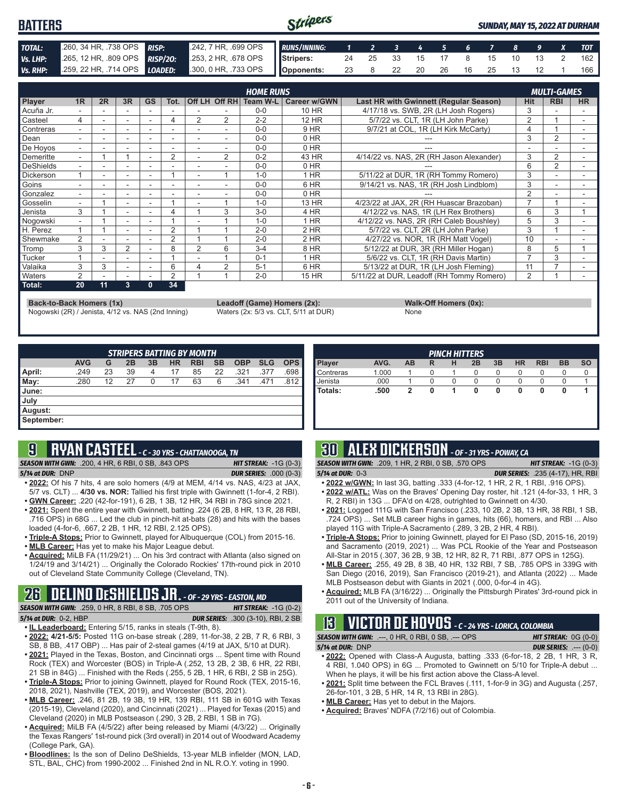#### Stripers **BATTERS** *SUNDAY, MAY 15, 2022 AT DURHAM TOTAL:* .260, 34 HR, .738 OPS *RISP:* .242, 7 HR, .699 OPS *RUNS/INNING: 1 2 3 4 5 6 7 8 9 X TOT Vs. LHP:* .265, 12 HR, .809 OPS *RISP/2O:* .253, 2 HR, .678 OPS **Stripers:** 24 25 33 15 17 8 15 10 13 2 162 *Vs. RHP:* .259, 22 HR, .714 OPS *LOADED:* .300, 0 HR, .733 OPS **Opponents:** 23 8 22 20 26 16 25 13 12 1 166

| <b>HOME RUNS</b> |                          |    |                          |           |      |   |                |          | <b>MULTI-GAMES</b>  |                                           |                |            |           |
|------------------|--------------------------|----|--------------------------|-----------|------|---|----------------|----------|---------------------|-------------------------------------------|----------------|------------|-----------|
| <b>Player</b>    | 1R                       | 2R | 3R                       | <b>GS</b> | Tot. |   | Off LH Off RH  | Team W-L | <b>Career w/GWN</b> | Last HR with Gwinnett (Regular Season)    | <b>Hit</b>     | <b>RBI</b> | <b>HR</b> |
| Acuña Jr.        |                          |    |                          |           |      |   |                | $0 - 0$  | 10 HR               | 4/17/18 vs. SWB, 2R (LH Josh Rogers)      | 3              |            |           |
| Casteel          | 4                        |    | $\overline{\phantom{a}}$ | ٠         | 4    | 2 | 2              | $2 - 2$  | <b>12 HR</b>        | 5/7/22 vs. CLT, 1R (LH John Parke)        | 2              |            |           |
| Contreras        | $\overline{\phantom{0}}$ |    | $\overline{\phantom{a}}$ |           |      |   |                | $0 - 0$  | 9 HR                | 9/7/21 at COL, 1R (LH Kirk McCarty)       | 4              |            |           |
| Dean             |                          |    |                          |           |      |   |                | $0 - 0$  | $0$ HR              |                                           | 3              | 2          |           |
| De Hoyos         | $\overline{\phantom{0}}$ |    |                          | ۰         | ۰    |   |                | $0 - 0$  | $0$ HR              |                                           |                |            |           |
| Demeritte        | $\overline{\phantom{0}}$ |    |                          |           | 2    |   | $\overline{2}$ | $0 - 2$  | 43 HR               | 4/14/22 vs. NAS, 2R (RH Jason Alexander)  | 3              | 2          |           |
| DeShields        | ۰.                       |    |                          |           |      |   |                | $0 - 0$  | $0$ HR              |                                           | 6              | 2          |           |
| <b>Dickerson</b> |                          |    |                          |           |      |   |                | $1 - 0$  | $1$ HR              | 5/11/22 at DUR, 1R (RH Tommy Romero)      | 3              |            |           |
| Goins            |                          |    |                          |           |      |   |                | $0 - 0$  | 6 HR                | 9/14/21 vs. NAS, 1R (RH Josh Lindblom)    | 3              |            |           |
| Gonzalez         | $\overline{\phantom{0}}$ |    |                          |           |      |   |                | $0 - 0$  | 0 HR                |                                           | $\overline{2}$ |            |           |
| Gosselin         |                          |    | $\overline{\phantom{a}}$ |           |      |   |                | $1 - 0$  | 13 HR               | 4/23/22 at JAX, 2R (RH Huascar Brazoban)  |                |            |           |
| Jenista          | 3                        |    |                          |           |      |   | 3              | $3-0$    | 4 HR                | 4/12/22 vs. NAS, 1R (LH Rex Brothers)     | 6              | 3          |           |
| Nogowski         | $\overline{\phantom{0}}$ |    |                          | ۰         |      |   |                | $1 - 0$  | 1 HR                | 4/12/22 vs. NAS, 2R (RH Caleb Boushley)   | 5              | 3          |           |
| H. Perez         |                          |    |                          |           | 2    |   |                | $2 - 0$  | 2 HR                | 5/7/22 vs. CLT. 2R (LH John Parke)        | 3              |            |           |
| Shewmake         | 2                        |    |                          |           | 2    |   |                | $2 - 0$  | $2$ HR              | 4/27/22 vs. NOR, 1R (RH Matt Vogel)       | 10             |            |           |
| <b>Tromp</b>     | 3                        | 3  | $\overline{2}$           |           | 8    | 2 | 6              | $3 - 4$  | 8 HR                | 5/12/22 at DUR, 3R (RH Miller Hogan)      | 8              | 5          |           |
| Tucker           |                          |    |                          |           |      |   |                | $0 - 1$  | 1 HR                | 5/6/22 vs. CLT, 1R (RH Davis Martin)      |                | 3          |           |
| Valaika          | 3                        | 3  | $\overline{\phantom{a}}$ |           | 6    |   | $\overline{2}$ | $5 - 1$  | 6 HR                | 5/13/22 at DUR, 1R (LH Josh Fleming)      | 11             |            |           |
| <b>Naters</b>    | 2                        |    |                          |           | 2    |   |                | $2 - 0$  | <b>15 HR</b>        | 5/11/22 at DUR, Leadoff (RH Tommy Romero) | 2              |            |           |
| Total:           | 20                       | 11 | 3                        | 0         | 34   |   |                |          |                     |                                           |                |            |           |

**Back-to-Back Homers (1x) Leadoff (Game) Homers (2x): Walk-Off Homers (0x): Walk-Off Homers (0x): None None Walk-Off Homers (0x): Walk-Off Homers (0x): Walk-Off Homers (0x): Waters (2x: 5/3 vs. CLT, 5/11 at** Nogowski (2R) / Jenista, 4/12 vs. NAS (2nd Inning)

|             | $\frac{1}{2}$ |
|-------------|---------------|
| <b>None</b> |               |

| <b>STRIPERS BATTING BY MONTH</b> |            |    |    |    |           |            |           |            |            |            |
|----------------------------------|------------|----|----|----|-----------|------------|-----------|------------|------------|------------|
|                                  | <b>AVG</b> | G  | 2B | 3B | <b>HR</b> | <b>RBI</b> | <b>SB</b> | <b>OBP</b> | <b>SLG</b> | <b>OPS</b> |
| April:                           | .249       | 23 | 39 | 4  | 17        | 85         | 22        | .321       | .377       | .698       |
| May:                             | .280       | 12 | 27 | 0  | 17        | 63         | 6         | .341       | .471       | .812       |
| <b>June:</b>                     |            |    |    |    |           |            |           |            |            |            |
| July                             |            |    |    |    |           |            |           |            |            |            |
| August:                          |            |    |    |    |           |            |           |            |            |            |
| September:                       |            |    |    |    |           |            |           |            |            |            |

# **9 RYAN CASTEEL** *- C - 30 YRS - CHATTANOOGA, TN*

*SEASON WITH GWN:*.200, 4 HR, 6 RBI, 0 SB, .843 OPS *HIT STREAK:* -1G (0-3)

*5/14 at DUR:*DNP *DUR SERIES:* .000 (0-3)

- **• 2022:** Of his 7 hits, 4 are solo homers (4/9 at MEM, 4/14 vs. NAS, 4/23 at JAX, 5/7 vs. CLT) ... **4/30 vs. NOR:** Tallied his first triple with Gwinnett (1-for-4, 2 RBI).
- **• GWN Career:** .220 (42-for-191), 6 2B, 1 3B, 12 HR, 34 RBI in 78G since 2021. **• 2021:** Spent the entire year with Gwinnett, batting .224 (6 2B, 8 HR, 13 R, 28 RBI,
- .716 OPS) in 68G ... Led the club in pinch-hit at-bats (28) and hits with the bases loaded (4-for-6, .667, 2 2B, 1 HR, 12 RBI, 2.125 OPS).
- **• Triple-A Stops:** Prior to Gwinnett, played for Albuquerque (COL) from 2015-16.
- **• MLB Career:** Has yet to make his Major League debut.
- **• Acquired:** MiLB FA (11/29/21) ... On his 3rd contract with Atlanta (also signed on 1/24/19 and 3/14/21) ... Originally the Colorado Rockies' 17th-round pick in 2010 out of Cleveland State Community College (Cleveland, TN).

# **26 DELINO DESHIELDS JR.** *- OF - 29 YRS - EASTON, MD*

*SEASON WITH GWN:*.259, 0 HR, 8 RBI, 8 SB, .705 OPS *HIT STREAK:* -1G (0-2) *5/14 at DUR:*0-2, HBP *DUR SERIES:* .300 (3-10), RBI, 2 SB

- **• IL Leaderboard:** Entering 5/15, ranks in steals (T-9th, 8). **• 2022: 4/21-5/5:** Posted 11G on-base streak (.289, 11-for-38, 2 2B, 7 R, 6 RBI, 3
- SB, 8 BB, .417 OBP) ... Has pair of 2-steal games (4/19 at JAX, 5/10 at DUR).
- **• 2021:** Played in the Texas, Boston, and Cincinnati orgs ... Spent time with Round Rock (TEX) and Worcester (BOS) in Triple-A (.252, 13 2B, 2 3B, 6 HR, 22 RBI, 21 SB in 84G) ... Finished with the Reds (.255, 5 2B, 1 HR, 6 RBI, 2 SB in 25G).
- **• Triple-A Stops:** Prior to joining Gwinnett, played for Round Rock (TEX, 2015-16, 2018, 2021), Nashville (TEX, 2019), and Worcester (BOS, 2021).
- **• MLB Career:** .246, 81 2B, 19 3B, 19 HR, 139 RBI, 111 SB in 601G with Texas (2015-19), Cleveland (2020), and Cincinnati (2021) ... Played for Texas (2015) and Cleveland (2020) in MLB Postseason (.290, 3 2B, 2 RBI, 1 SB in 7G).
- **• Acquired:** MiLB FA (4/5/22) after being released by Miami (4/3/22) ... Originally the Texas Rangers' 1st-round pick (3rd overall) in 2014 out of Woodward Academy (College Park, GA).
- **• Bloodlines:** Is the son of Delino DeShields, 13-year MLB infielder (MON, LAD, STL, BAL, CHC) from 1990-2002 ... Finished 2nd in NL R.O.Y. voting in 1990.

| <b>PINCH HITTERS</b> |       |    |   |   |    |    |           |            |           |           |
|----------------------|-------|----|---|---|----|----|-----------|------------|-----------|-----------|
| <b>Player</b>        | AVG.  | AB | R | н | 2B | 3B | <b>HR</b> | <b>RBI</b> | <b>BB</b> | <b>SO</b> |
| <b>Contreras</b>     | 1.000 |    | O |   | 0  | O  | O         |            | U         |           |
| Uenista              | .000  |    |   |   | 0  |    |           |            |           |           |
| l Totals:            | .500  | 2  |   |   | 0  | 0  | 0         | 0          | O         |           |
|                      |       |    |   |   |    |    |           |            |           |           |
|                      |       |    |   |   |    |    |           |            |           |           |

# **30 ALEX DICKERSON** *- OF - 31 YRS - POWAY, CA*

*SEASON WITH GWN:*.209, 1 HR, 2 RBI, 0 SB, .570 OPS *HIT STREAK:* -1G (0-3)

- 
- *5/14 at DUR:*0-3 *DUR SERIES:* .235 (4-17), HR, RBI **• 2022 w/GWN:** In last 3G, batting .333 (4-for-12, 1 HR, 2 R, 1 RBI, .916 OPS).
- **• 2022 w/ATL:** Was on the Braves' Opening Day roster, hit .121 (4-for-33, 1 HR, 3 R, 2 RBI) in 13G ... DFA'd on 4/28, outrighted to Gwinnett on 4/30.
- **• 2021:** Logged 111G with San Francisco (.233, 10 2B, 2 3B, 13 HR, 38 RBI, 1 SB, .724 OPS) ... Set MLB career highs in games, hits (66), homers, and RBI ... Also played 11G with Triple-A Sacramento (.289, 3 2B, 2 HR, 4 RBI).
- **• Triple-A Stops:** Prior to joining Gwinnett, played for El Paso (SD, 2015-16, 2019) and Sacramento (2019, 2021) ... Was PCL Rookie of the Year and Postseason All-Star in 2015 (.307, 36 2B, 9 3B, 12 HR, 82 R, 71 RBI, .877 OPS in 125G).
- **• MLB Career:** .255, 49 2B, 8 3B, 40 HR, 132 RBI, 7 SB, .785 OPS in 339G with San Diego (2016, 2019), San Francisco (2019-21), and Atlanta (2022) ... Made MLB Postseason debut with Giants in 2021 (.000, 0-for-4 in 4G).
- **• Acquired:** MLB FA (3/16/22) ... Originally the Pittsburgh Pirates' 3rd-round pick in 2011 out of the University of Indiana.

# **13 VICTOR DE HOYOS** *- C - 24 YRS - LORICA, COLOMBIA*

| <b>SEASON WITH GWN: .---, 0 HR, 0 RBI, 0 SB, .--- OPS</b> | <b>HIT STREAK:</b> $0G(0-0)$  |
|-----------------------------------------------------------|-------------------------------|
| $5/14$ at DUR: DNP                                        | <b>DUR SERIES:</b> $---(0-0)$ |

- **• 2022:** Opened with Class-A Augusta, batting .333 (6-for-18, 2 2B, 1 HR, 3 R, 4 RBI, 1.040 OPS) in 6G ... Promoted to Gwinnett on 5/10 for Triple-A debut ... When he plays, it will be his first action above the Class-A level.
- **• 2021:** Split time between the FCL Braves (.111, 1-for-9 in 3G) and Augusta (.257, 26-for-101, 3 2B, 5 HR, 14 R, 13 RBI in 28G).
- **• MLB Career:** Has yet to debut in the Majors.
- **• Acquired:** Braves' NDFA (7/2/16) out of Colombia.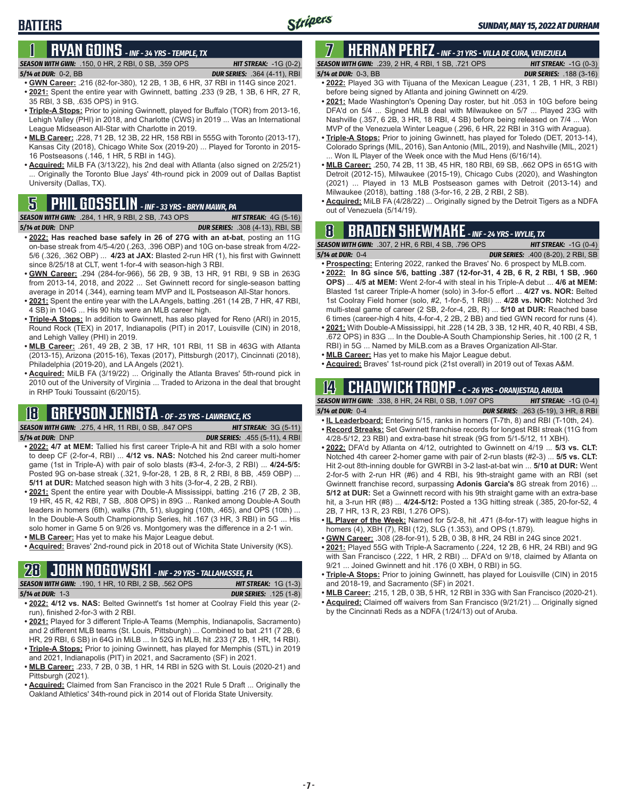# **1 RYAN GOINS** *- INF - 34 YRS - TEMPLE, TX*

### *SEASON WITH GWN:*.150, 0 HR, 2 RBI, 0 SB, .359 OPS *HIT STREAK:* -1G (0-2)

*5/14 at DUR:*0-2, BB *DUR SERIES:* .364 (4-11), RBI

**BATTERS**

- **• GWN Career:** .216 (82-for-380), 12 2B, 1 3B, 6 HR, 37 RBI in 114G since 2021. **• 2021:** Spent the entire year with Gwinnett, batting .233 (9 2B, 1 3B, 6 HR, 27 R, 35 RBI, 3 SB, .635 OPS) in 91G.
- **• Triple-A Stops:** Prior to joining Gwinnett, played for Buffalo (TOR) from 2013-16, Lehigh Valley (PHI) in 2018, and Charlotte (CWS) in 2019 ... Was an International League Midseason All-Star with Charlotte in 2019.
- **• MLB Career:** .228, 71 2B, 12 3B, 22 HR, 158 RBI in 555G with Toronto (2013-17), Kansas City (2018), Chicago White Sox (2019-20) ... Played for Toronto in 2015- 16 Postseasons (.146, 1 HR, 5 RBI in 14G).
- **• Acquired:** MiLB FA (3/13/22), his 2nd deal with Atlanta (also signed on 2/25/21) ... Originally the Toronto Blue Jays' 4th-round pick in 2009 out of Dallas Baptist University (Dallas, TX).

**SEASON WITH GWN:** .284, 1 HR, 9 RBI, 2 SB, .743 OPS *5/14 at DUR:*DNP *DUR SERIES:* .308 (4-13), RBI, SB

- **• 2022: Has reached base safely in 26 of 27G with an at-bat**, posting an 11G on-base streak from 4/5-4/20 (.263, .396 OBP) and 10G on-base streak from 4/22- 5/6 (.326, .362 OBP) ... **4/23 at JAX:** Blasted 2-run HR (1), his first with Gwinnett since 8/25/18 at CLT, went 1-for-4 with season-high 3 RBI.
- **• GWN Career:** .294 (284-for-966), 56 2B, 9 3B, 13 HR, 91 RBI, 9 SB in 263G from 2013-14, 2018, and 2022 ... Set Gwinnett record for single-season batting average in 2014 (.344), earning team MVP and IL Postseason All-Star honors.
- **• 2021:** Spent the entire year with the LA Angels, batting .261 (14 2B, 7 HR, 47 RBI, 4 SB) in 104G ... His 90 hits were an MLB career high.
- **• Triple-A Stops:** In addition to Gwinnett, has also played for Reno (ARI) in 2015, Round Rock (TEX) in 2017, Indianapolis (PIT) in 2017, Louisville (CIN) in 2018, and Lehigh Valley (PHI) in 2019.
- **• MLB Career:** .261, 49 2B, 2 3B, 17 HR, 101 RBI, 11 SB in 463G with Atlanta (2013-15), Arizona (2015-16), Texas (2017), Pittsburgh (2017), Cincinnati (2018), Philadelphia (2019-20), and LA Angels (2021).
- **• Acquired:** MiLB FA (3/19/22) ... Originally the Atlanta Braves' 5th-round pick in 2010 out of the University of Virginia ... Traded to Arizona in the deal that brought in RHP Touki Toussaint (6/20/15).

# **18 GREYSON JENISTA** *- OF - 25 YRS - LAWRENCE, KS*

*SEASON WITH GWN:*.275, 4 HR, 11 RBI, 0 SB, .847 OPS *HIT STREAK:* 3G (5-11)

*5/14 at DUR:*DNP *DUR SERIES:* .455 (5-11), 4 RBI

- **• 2022: 4/7 at MEM:** Tallied his first career Triple-A hit and RBI with a solo homer to deep CF (2-for-4, RBI) ... **4/12 vs. NAS:** Notched his 2nd career multi-homer game (1st in Triple-A) with pair of solo blasts (#3-4, 2-for-3, 2 RBI) ... **4/24-5/5:**  Posted 9G on-base streak (.321, 9-for-28, 1 2B, 8 R, 2 RBI, 8 BB, .459 OBP) ... **5/11 at DUR:** Matched season high with 3 hits (3-for-4, 2 2B, 2 RBI).
- **• 2021:** Spent the entire year with Double-A Mississippi, batting .216 (7 2B, 2 3B, 19 HR, 45 R, 42 RBI, 7 SB, .808 OPS) in 89G ... Ranked among Double-A South leaders in homers (6th), walks (7th, 51), slugging (10th, .465), and OPS (10th) ... In the Double-A South Championship Series, hit .167 (3 HR, 3 RBI) in 5G ... His solo homer in Game 5 on 9/26 vs. Montgomery was the difference in a 2-1 win.
- **• MLB Career:** Has yet to make his Major League debut.
- **• Acquired:** Braves' 2nd-round pick in 2018 out of Wichita State University (KS).

# **28 JOHN NOGOWSKI** *- INF - 29 YRS - TALLAHASSEE, FL*

|                      | <b>SEASON WITH GWN: .190. 1 HR. 10 RBI. 2 SB. .562 OPS</b>                                                                                                                                                                                                                                                                                           | <b>HIT STREAK:</b> $1G(1-3)$  |
|----------------------|------------------------------------------------------------------------------------------------------------------------------------------------------------------------------------------------------------------------------------------------------------------------------------------------------------------------------------------------------|-------------------------------|
| $5/14$ at DUR: $1-3$ |                                                                                                                                                                                                                                                                                                                                                      | <b>DUR SERIES:</b> .125 (1-8) |
|                      | $\overline{0.000}$ , $\overline{1110}$ , $\overline{1110}$ , $\overline{1111}$ , $\overline{1111}$ , $\overline{1111}$ , $\overline{1111}$ , $\overline{1111}$ , $\overline{1111}$ , $\overline{1111}$ , $\overline{1111}$ , $\overline{1111}$ , $\overline{1111}$ , $\overline{1111}$ , $\overline{1111}$ , $\overline{1111}$ , $\overline{1111}$ , |                               |

- **• 2022: 4/12 vs. NAS:** Belted Gwinnett's 1st homer at Coolray Field this year (2 run), finished 2-for-3 with 2 RBI.
- **• 2021:** Played for 3 different Triple-A Teams (Memphis, Indianapolis, Sacramento) and 2 different MLB teams (St. Louis, Pittsburgh) ... Combined to bat .211 (7 2B, 6 HR, 29 RBI, 6 SB) in 64G in MiLB ... In 52G in MLB, hit .233 (7 2B, 1 HR, 14 RBI).
- **• Triple-A Stops:** Prior to joining Gwinnett, has played for Memphis (STL) in 2019 and 2021, Indianapolis (PIT) in 2021, and Sacramento (SF) in 2021.
- **• MLB Career:** .233, 7 2B, 0 3B, 1 HR, 14 RBI in 52G with St. Louis (2020-21) and Pittsburgh (2021).
- **• Acquired:** Claimed from San Francisco in the 2021 Rule 5 Draft ... Originally the Oakland Athletics' 34th-round pick in 2014 out of Florida State University.

# **7 HERNAN PEREZ** *- INF - 31 YRS - VILLA DE CURA, VENEZUELA*

*SEASON WITH GWN:*.239, 2 HR, 4 RBI, 1 SB, .721 OPS *HIT STREAK:* -1G (0-3) *5/14 at DUR:*0-3, BB *DUR SERIES:* .188 (3-16)

- **• 2022:** Played 3G with Tijuana of the Mexican League (.231, 1 2B, 1 HR, 3 RBI) before being signed by Atlanta and joining Gwinnett on 4/29.
- **• 2021:** Made Washington's Opening Day roster, but hit .053 in 10G before being DFA'd on 5/4 ... Signed MiLB deal with Milwaukee on 5/7 ... Played 23G with Nashville (.357, 6 2B, 3 HR, 18 RBI, 4 SB) before being released on 7/4 ... Won MVP of the Venezuela Winter League (.296, 6 HR, 22 RBI in 31G with Aragua).
- **• Triple-A Stops:** Prior to joining Gwinnett, has played for Toledo (DET, 2013-14), Colorado Springs (MIL, 2016), San Antonio (MIL, 2019), and Nashville (MIL, 2021) ... Won IL Player of the Week once with the Mud Hens (6/16/14).
- **• MLB Career:** .250, 74 2B, 11 3B, 45 HR, 180 RBI, 69 SB, .662 OPS in 651G with Detroit (2012-15), Milwaukee (2015-19), Chicago Cubs (2020), and Washington (2021) ... Played in 13 MLB Postseason games with Detroit (2013-14) and Milwaukee (2018), batting .188 (3-for-16, 2 2B, 2 RBI, 2 SB).
- **• Acquired:** MiLB FA (4/28/22) ... Originally signed by the Detroit Tigers as a NDFA **5** out of Venezuela (5/14/19). **PHIL GOSSELIN**  *INF 33 YRS BRYN MAWR, PA*

# **8 BRADEN SHEWMAKE** *- INF - 24 YRS - WYLIE, TX*

*SEASON WITH GWN:*.307, 2 HR, 6 RBI, 4 SB, .796 OPS *HIT STREAK:* -1G (0-4)

- *5/14 at DUR:*0-4 *DUR SERIES:* .400 (8-20), 2 RBI, SB **• Prospecting:** Entering 2022, ranked the Braves' No. 6 prospect by MLB.com.
- **• 2022: In 8G since 5/6, batting .387 (12-for-31, 4 2B, 6 R, 2 RBI, 1 SB, .960 OPS)** ... **4/5 at MEM:** Went 2-for-4 with steal in his Triple-A debut ... **4/6 at MEM:**  Blasted 1st career Triple-A homer (solo) in 3-for-5 effort ... **4/27 vs. NOR:** Belted 1st Coolray Field homer (solo, #2, 1-for-5, 1 RBI) ... **4/28 vs. NOR:** Notched 3rd multi-steal game of career (2 SB, 2-for-4, 2B, R) ... **5/10 at DUR:** Reached base 6 times (career-high 4 hits, 4-for-4, 2 2B, 2 BB) and tied GWN record for runs (4).
- **• 2021:** With Double-A Mississippi, hit .228 (14 2B, 3 3B, 12 HR, 40 R, 40 RBI, 4 SB, .672 OPS) in 83G ... In the Double-A South Championship Series, hit .100 (2 R, 1 RBI) in 5G ... Named by MiLB.com as a Braves Organization All-Star.
- **• MLB Career:** Has yet to make his Major League debut.
- **• Acquired:** Braves' 1st-round pick (21st overall) in 2019 out of Texas A&M.

# **14 CHADWICK TROMP** *- C - 26 YRS - ORANJESTAD, ARUBA*

*SEASON WITH GWN:*.338, 8 HR, 24 RBI, 0 SB, 1.097 OPS *HIT STREAK:* -1G (0-4) *5/14 at DUR:*0-4 *DUR SERIES:* .263 (5-19), 3 HR, 8 RBI

- **• IL Leaderboard:** Entering 5/15, ranks in homers (T-7th, 8) and RBI (T-10th, 24). **• Record Streaks:** Set Gwinnett franchise records for longest RBI streak (11G from
- 4/28-5/12, 23 RBI) and extra-base hit streak (9G from 5/1-5/12, 11 XBH).
- **• 2022:** DFA'd by Atlanta on 4/12, outrighted to Gwinnett on 4/19 ... **5/3 vs. CLT:** Notched 4th career 2-homer game with pair of 2-run blasts (#2-3) ... **5/5 vs. CLT:** Hit 2-out 8th-inning double for GWRBI in 3-2 last-at-bat win ... **5/10 at DUR:** Went 2-for-5 with 2-run HR (#6) and 4 RBI, his 9th-straight game with an RBI (set Gwinnett franchise record, surpassing **Adonis Garcia's** 8G streak from 2016) ... **5/12 at DUR:** Set a Gwinnett record with his 9th straight game with an extra-base hit, a 3-run HR (#8) ... **4/24-5/12:** Posted a 13G hitting streak (.385, 20-for-52, 4 2B, 7 HR, 13 R, 23 RBI, 1.276 OPS).
- **• IL Player of the Week:** Named for 5/2-8, hit .471 (8-for-17) with league highs in homers (4), XBH (7), RBI (12), SLG (1.353), and OPS (1.879).
- **• GWN Career:** .308 (28-for-91), 5 2B, 0 3B, 8 HR, 24 RBI in 24G since 2021.
- **• 2021:** Played 55G with Triple-A Sacramento (.224, 12 2B, 6 HR, 24 RBI) and 9G with San Francisco (.222, 1 HR, 2 RBI) ... DFA'd on 9/18, claimed by Atlanta on 9/21 ... Joined Gwinnett and hit .176 (0 XBH, 0 RBI) in 5G.
- **• Triple-A Stops:** Prior to joining Gwinnett, has played for Louisville (CIN) in 2015 and 2018-19, and Sacramento (SF) in 2021.
- **• MLB Career:** .215, 1 2B, 0 3B, 5 HR, 12 RBI in 33G with San Francisco (2020-21).
- **• Acquired:** Claimed off waivers from San Francisco (9/21/21) ... Originally signed by the Cincinnati Reds as a NDFA (1/24/13) out of Aruba.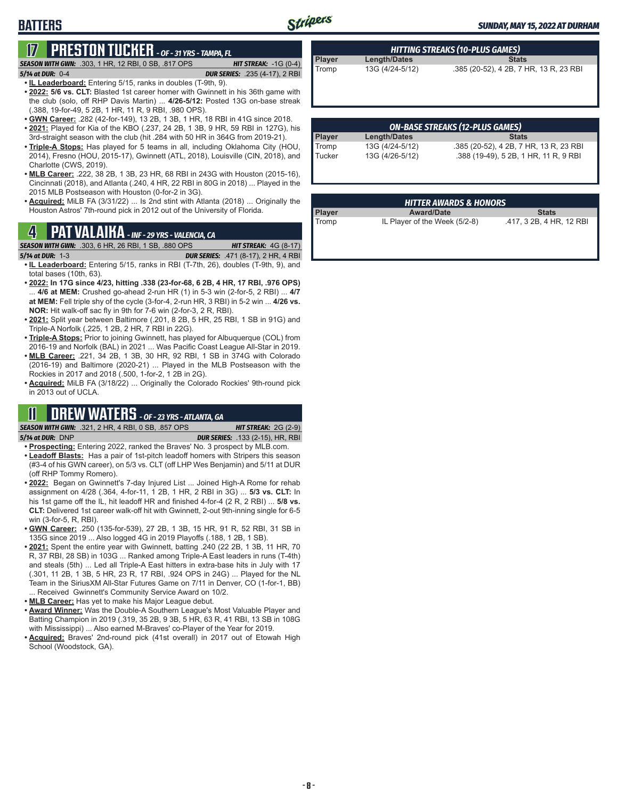# Stripers

#### *SUNDAY, MAY 15, 2022 AT DURHAM*

# **17 PRESTON TUCKER** *- OF - 31 YRS - TAMPA, FL*

*SEASON WITH GWN:*.303, 1 HR, 12 RBI, 0 SB, .817 OPS *HIT STREAK:* -1G (0-4)

#### *5/14 at DUR:*0-4 *DUR SERIES:* .235 (4-17), 2 RBI

**BATTERS**

- **• IL Leaderboard:** Entering 5/15, ranks in doubles (T-9th, 9).
- **• 2022: 5/6 vs. CLT:** Blasted 1st career homer with Gwinnett in his 36th game with the club (solo, off RHP Davis Martin) ... **4/26-5/12:** Posted 13G on-base streak (.388, 19-for-49, 5 2B, 1 HR, 11 R, 9 RBI, .980 OPS).
- **• GWN Career:** .282 (42-for-149), 13 2B, 1 3B, 1 HR, 18 RBI in 41G since 2018.
- **• 2021:** Played for Kia of the KBO (.237, 24 2B, 1 3B, 9 HR, 59 RBI in 127G), his 3rd-straight season with the club (hit .284 with 50 HR in 364G from 2019-21).
- **• Triple-A Stops:** Has played for 5 teams in all, including Oklahoma City (HOU, 2014), Fresno (HOU, 2015-17), Gwinnett (ATL, 2018), Louisville (CIN, 2018), and Charlotte (CWS, 2019).
- **• MLB Career:** .222, 38 2B, 1 3B, 23 HR, 68 RBI in 243G with Houston (2015-16), Cincinnati (2018), and Atlanta (.240, 4 HR, 22 RBI in 80G in 2018) ... Played in the 2015 MLB Postseason with Houston (0-for-2 in 3G).
- **• Acquired:** MiLB FA (3/31/22) ... Is 2nd stint with Atlanta (2018) ... Originally the Houston Astros' 7th-round pick in 2012 out of the University of Florida.

## **4 PAT VALAIKA** *- INF - 29 YRS - VALENCIA, CA*

*SEASON WITH GWN:*.303, 6 HR, 26 RBI, 1 SB, .880 OPS *HIT STREAK:* 4G (8-17)

- *5/14 at DUR:*1-3 *DUR SERIES:* .471 (8-17), 2 HR, 4 RBI **• IL Leaderboard:** Entering 5/15, ranks in RBI (T-7th, 26), doubles (T-9th, 9), and total bases (10th, 63).
- **• 2022: In 17G since 4/23, hitting .338 (23-for-68, 6 2B, 4 HR, 17 RBI, .976 OPS)** ... **4/6 at MEM:** Crushed go-ahead 2-run HR (1) in 5-3 win (2-for-5, 2 RBI) ... **4/7 at MEM:** Fell triple shy of the cycle (3-for-4, 2-run HR, 3 RBI) in 5-2 win ... **4/26 vs. NOR:** Hit walk-off sac fly in 9th for 7-6 win (2-for-3, 2 R, RBI).
- **• 2021:** Split year between Baltimore (.201, 8 2B, 5 HR, 25 RBI, 1 SB in 91G) and Triple-A Norfolk (.225, 1 2B, 2 HR, 7 RBI in 22G).
- **• Triple-A Stops:** Prior to joining Gwinnett, has played for Albuquerque (COL) from 2016-19 and Norfolk (BAL) in 2021 ... Was Pacific Coast League All-Star in 2019.
- **• MLB Career:** .221, 34 2B, 1 3B, 30 HR, 92 RBI, 1 SB in 374G with Colorado (2016-19) and Baltimore (2020-21) ... Played in the MLB Postseason with the Rockies in 2017 and 2018 (.500, 1-for-2, 1 2B in 2G).
- **• Acquired:** MiLB FA (3/18/22) ... Originally the Colorado Rockies' 9th-round pick in 2013 out of UCLA.

# **11 DREW WATERS** *- OF - 23 YRS - ATLANTA, GA*

*SEASON WITH GWN:*.321, 2 HR, 4 RBI, 0 SB, .857 OPS *HIT STREAK:* 2G (2-9) *5/14 at DUR:*DNP *DUR SERIES:* .133 (2-15), HR, RBI

- **• Prospecting:** Entering 2022, ranked the Braves' No. 3 prospect by MLB.com. **• Leadoff Blasts:** Has a pair of 1st-pitch leadoff homers with Stripers this season (#3-4 of his GWN career), on 5/3 vs. CLT (off LHP Wes Benjamin) and 5/11 at DUR (off RHP Tommy Romero).
- **• 2022:** Began on Gwinnett's 7-day Injured List ... Joined High-A Rome for rehab assignment on 4/28 (.364, 4-for-11, 1 2B, 1 HR, 2 RBI in 3G) ... **5/3 vs. CLT:** In his 1st game off the IL, hit leadoff HR and finished 4-for-4 (2 R, 2 RBI) ... **5/8 vs. CLT:** Delivered 1st career walk-off hit with Gwinnett, 2-out 9th-inning single for 6-5 win (3-for-5, R, RBI).
- **• GWN Career:** .250 (135-for-539), 27 2B, 1 3B, 15 HR, 91 R, 52 RBI, 31 SB in 135G since 2019 ... Also logged 4G in 2019 Playoffs (.188, 1 2B, 1 SB).
- **• 2021:** Spent the entire year with Gwinnett, batting .240 (22 2B, 1 3B, 11 HR, 70 R, 37 RBI, 28 SB) in 103G ... Ranked among Triple-A East leaders in runs (T-4th) and steals (5th) ... Led all Triple-A East hitters in extra-base hits in July with 17 (.301, 11 2B, 1 3B, 5 HR, 23 R, 17 RBI, .924 OPS in 24G) ... Played for the NL Team in the SiriusXM All-Star Futures Game on 7/11 in Denver, CO (1-for-1, BB) ... Received Gwinnett's Community Service Award on 10/2.
- **• MLB Career:** Has yet to make his Major League debut.
- **• Award Winner:** Was the Double-A Southern League's Most Valuable Player and Batting Champion in 2019 (.319, 35 2B, 9 3B, 5 HR, 63 R, 41 RBI, 13 SB in 108G with Mississippi) ... Also earned M-Braves' co-Player of the Year for 2019.
- **• Acquired:** Braves' 2nd-round pick (41st overall) in 2017 out of Etowah High School (Woodstock, GA).

| HITTING STREAKS (10-PLUS GAMES) |                     |                                        |  |  |  |
|---------------------------------|---------------------|----------------------------------------|--|--|--|
| Player                          | <b>Length/Dates</b> | <b>Stats</b>                           |  |  |  |
| Tromp                           | 13G (4/24-5/12)     | .385 (20-52), 4 2B, 7 HR, 13 R, 23 RBI |  |  |  |

| <b>ON-BASE STREAKS (12-PLUS GAMES)</b> |                 |                                        |  |  |  |
|----------------------------------------|-----------------|----------------------------------------|--|--|--|
| <b>Player</b>                          | Length/Dates    | <b>Stats</b>                           |  |  |  |
| Tromp                                  | 13G (4/24-5/12) | .385 (20-52), 4 2B, 7 HR, 13 R, 23 RBI |  |  |  |
| Tucker                                 | 13G (4/26-5/12) | .388 (19-49), 5 2B, 1 HR, 11 R, 9 RBI  |  |  |  |

### *HITTER AWARDS & HONORS* **Player Award/Date Stats** Tromp IL Player of the Week (5/2-8) .417, 3 2B, 4 HR, 12 RBI

**- 8 -**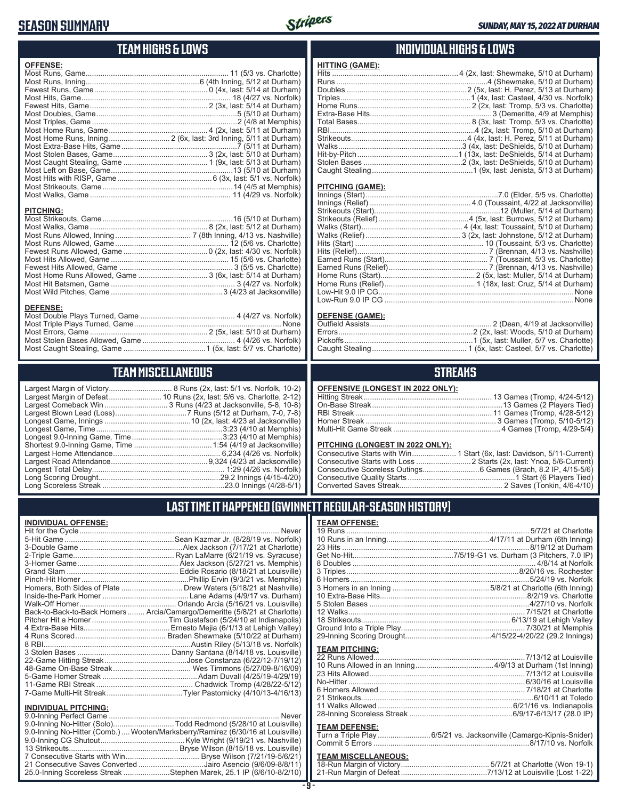# **SEASON SUMMARY**



### **TEAM HIGHS & LOWS**

| <b>OFFENSE:</b>      |                      |
|----------------------|----------------------|
|                      |                      |
|                      |                      |
|                      |                      |
|                      |                      |
|                      |                      |
|                      |                      |
|                      |                      |
|                      |                      |
|                      |                      |
|                      |                      |
|                      |                      |
|                      |                      |
|                      |                      |
|                      |                      |
|                      |                      |
|                      |                      |
|                      |                      |
| <b>PITCHING:</b>     |                      |
| Most Strikeoute Camp | $16(5/10$ of Durbom) |

| <b>PITCHING:</b> |  |
|------------------|--|
|                  |  |
|                  |  |
|                  |  |
|                  |  |
|                  |  |
|                  |  |
|                  |  |
|                  |  |
|                  |  |
|                  |  |

#### **DEFENSE:**

### **TEAM MISCELLANEOUS**

..................... 8 Runs (2x, last: 5/1 vs. Norfolk, 10-2) ............ 10 Runs (2x, last: 5/6 vs. Charlotte, 2-12) ................. 3 Runs (4/23 at Jacksonville, 5-8, 10-8) Largest Blown Lead (Loss) ..................................7 Runs (5/12 at Durham, 7-0, 7-8) Longest Game, Innings .........................................10 (2x, last: 4/23 at Jacksonville) Longest Game, Time ............................................................3:23 (4/10 at Memphis) Longest 9.0-Inning Game, Time ...........................................3:23 (4/10 at Memphis) Shortest 9.0-Inning Game, Time .....................................1:54 (4/19 at Jacksonville) Largest Home Attendance ................................................... 6,234 (4/26 vs. Norfolk) Largest Road Attendance ..............................................9,324 (4/23 at Jacksonville) Longest Total Delay............................................................... 1:29 (4/26 vs. Norfolk) Long Scoring Drought..........................................................29.2 Innings (4/15-4/20) Long Scoreless Streak ..........................................................23.0 Innings (4/28-5/1)

### **INDIVIDUAL HIGHS & LOWS**

| <u>HITTING (GAME):</u> |  |
|------------------------|--|
|                        |  |
|                        |  |
|                        |  |
|                        |  |
|                        |  |
|                        |  |
|                        |  |
|                        |  |
|                        |  |
|                        |  |
|                        |  |
|                        |  |
|                        |  |

#### **PITCHING (GAME):**

#### **DEFENSE (GAME):**

### **STREAKS**

| <b>OFFENSIVE (LONGEST IN 2022 ONLY):</b> |  |
|------------------------------------------|--|
|                                          |  |

#### **PITCHING (LONGEST IN 2022 ONLY):**

19 Runs ....................................................................................... 5/7/21 at Charlotte 10 Runs in an Inning.................................................4/17/11 at Durham (6th Inning) 23 Hits .........................................................................................8/19/12 at Durham Get No-Hit................................................7/5/19-G1 vs. Durham (3 Pitchers, 7.0 IP) 8 Doubles ....................................................................................... 4/8/14 at Norfolk 3 Triples..................................................................................8/20/16 vs. Rochester 6 Homers.....................................................................................5/24/19 vs. Norfolk 3 Homers in an Inning ..............................................5/8/21 at Charlotte (6th Inning) 10 Extra-Base Hits......................................................................8/2/19 vs. Charlotte 5 Stolen Bases ............................................................................4/27/10 vs. Norfolk 12 Walks.................................................................................... 7/15/21 at Charlotte 18 Strikeouts....................................................................... 6/13/19 at Lehigh Valley Ground Into a Triple Play........................................................... 7/30/21 at Memphis 29-Inning Scoring Drought.........................................4/15/22-4/20/22 (29.2 Innings)

### **LAST TIME IT HAPPENED (GWINNETT REGULAR-SEASON HISTORY)**

**TEAM OFFENSE:**

**TEAM PITCHING:**

**TEAM DEFENSE:**

#### **INDIVIDUAL OFFENSE:**

|                             | Homers, Both Sides of Plate  Drew Waters (5/18/21 at Nashville)            |
|-----------------------------|----------------------------------------------------------------------------|
|                             |                                                                            |
|                             |                                                                            |
|                             | Back-to-Back-to-Back Homers  Arcia/Camargo/Demeritte (5/8/21 at Charlotte) |
|                             |                                                                            |
|                             |                                                                            |
|                             |                                                                            |
|                             |                                                                            |
|                             |                                                                            |
|                             |                                                                            |
|                             |                                                                            |
|                             |                                                                            |
|                             |                                                                            |
|                             |                                                                            |
| <b>INDIVIDUAL PITCHING:</b> |                                                                            |
|                             | $\cdots$                                                                   |

| 111011100111101111101                                                          |  |
|--------------------------------------------------------------------------------|--|
|                                                                                |  |
| 9.0-Inning No-Hitter (Solo)Todd Redmond (5/28/10 at Louisville)                |  |
| 9.0-Inning No-Hitter (Comb.) Wooten/Marksberry/Ramirez (6/30/16 at Louisville) |  |
|                                                                                |  |
|                                                                                |  |
|                                                                                |  |
| 21 Consecutive Saves Converted Jairo Asencio (9/6/09-8/8/11)                   |  |
| 25.0-Inning Scoreless Streak Stephen Marek, 25.1 IP (6/6/10-8/2/10)            |  |
|                                                                                |  |

| <b>TEAM MISCELLANEOUS:</b> |  |
|----------------------------|--|
|                            |  |
|                            |  |

Turn a Triple Play .........................6/5/21 vs. Jacksonville (Camargo-Kipnis-Snider) Commit 5 Errors ..........................................................................8/17/10 vs. Norfolk

22 Runs Allowed........................................................................7/13/12 at Louisville 10 Runs Allowed in an Inning .....................................4/9/13 at Durham (1st Inning) 23 Hits Allowed ..........................................................................7/13/12 at Louisville No-Hitter ....................................................................................6/30/16 at Louisville 6 Homers Allowed ..................................................................... 7/18/21 at Charlotte 21 Strikeouts..................................................................................6/10/11 at Toledo 11 Walks Allowed ................................................................6/21/16 vs. Indianapolis 28-Inning Scoreless Streak .................................................6/9/17-6/13/17 (28.0 IP)